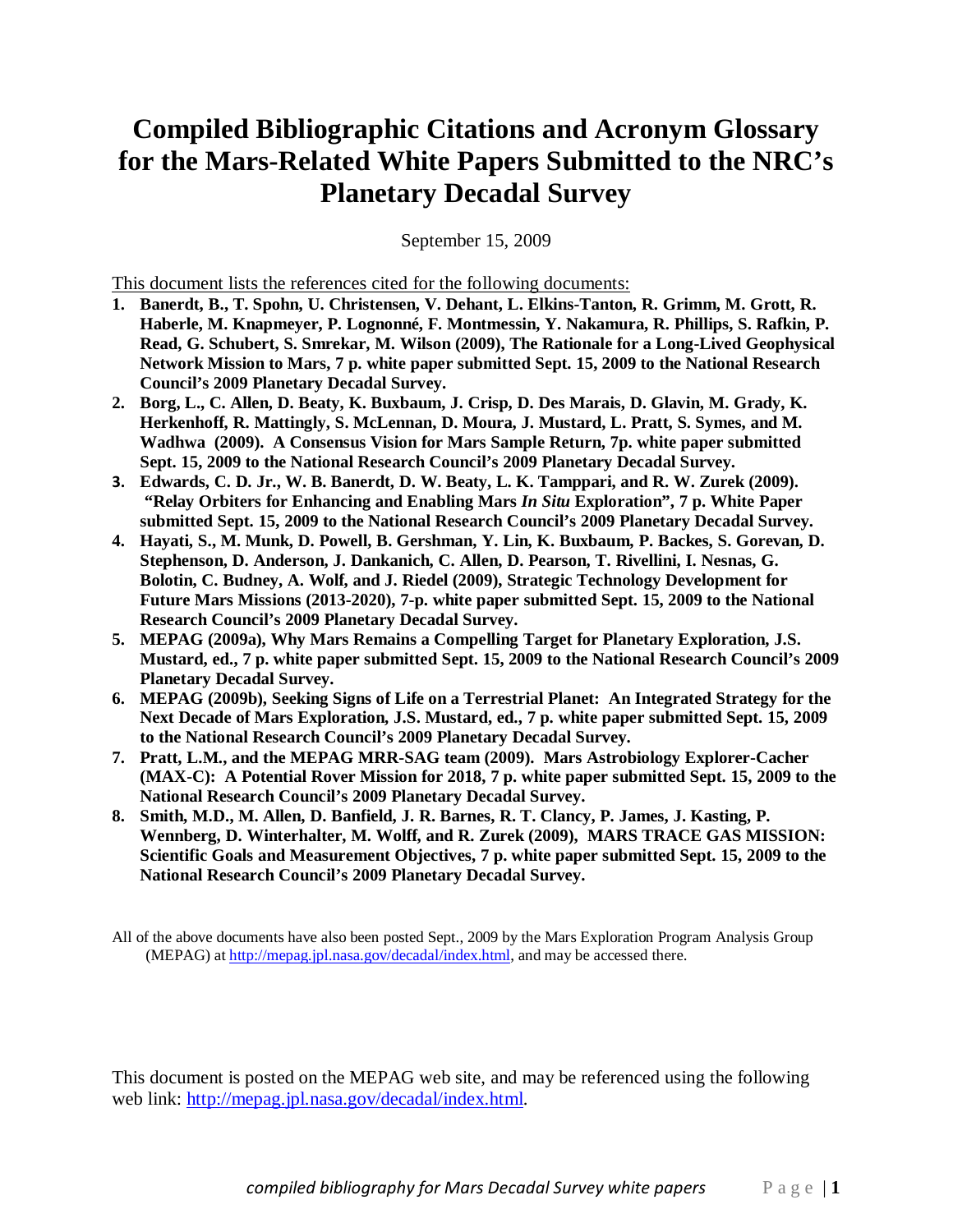# **Compiled Bibliographic Citations and Acronym Glossary for the Mars-Related White Papers Submitted to the NRC's Planetary Decadal Survey**

September 15, 2009

This document lists the references cited for the following documents:

- **1. Banerdt, B., T. Spohn, U. Christensen, V. Dehant, L. Elkins-Tanton, R. Grimm, M. Grott, R. Haberle, M. Knapmeyer, P. Lognonné, F. Montmessin, Y. Nakamura, R. Phillips, S. Rafkin, P. Read, G. Schubert, S. Smrekar, M. Wilson (2009), The Rationale for a Long-Lived Geophysical Network Mission to Mars, 7 p. white paper submitted Sept. 15, 2009 to the National Research Council's 2009 Planetary Decadal Survey.**
- **2. Borg, L., C. Allen, D. Beaty, K. Buxbaum, J. Crisp, D. Des Marais, D. Glavin, M. Grady, K. Herkenhoff, R. Mattingly, S. McLennan, D. Moura, J. Mustard, L. Pratt, S. Symes, and M. Wadhwa (2009). A Consensus Vision for Mars Sample Return, 7p. white paper submitted Sept. 15, 2009 to the National Research Council's 2009 Planetary Decadal Survey.**
- 3. **Edwards, C. D. Jr., W. B. Banerdt, D. W. Beaty, L. K. Tamppari, and R. W. Zurek (2009). "Relay Orbiters for Enhancing and Enabling Mars** *In Situ* **Exploration", 7 p. White Paper submitted Sept. 15, 2009 to the National Research Council's 2009 Planetary Decadal Survey.**
- **4. Hayati, S., M. Munk, D. Powell, B. Gershman, Y. Lin, K. Buxbaum, P. Backes, S. Gorevan, D. Stephenson, D. Anderson, J. Dankanich, C. Allen, D. Pearson, T. Rivellini, I. Nesnas, G. Bolotin, C. Budney, A. Wolf, and J. Riedel (2009), Strategic Technology Development for Future Mars Missions (2013-2020), 7-p. white paper submitted Sept. 15, 2009 to the National Research Council's 2009 Planetary Decadal Survey.**
- **5. MEPAG (2009a), Why Mars Remains a Compelling Target for Planetary Exploration, J.S. Mustard, ed., 7 p. white paper submitted Sept. 15, 2009 to the National Research Council's 2009 Planetary Decadal Survey.**
- **6. MEPAG (2009b), Seeking Signs of Life on a Terrestrial Planet: An Integrated Strategy for the Next Decade of Mars Exploration, J.S. Mustard, ed., 7 p. white paper submitted Sept. 15, 2009 to the National Research Council's 2009 Planetary Decadal Survey.**
- **7. Pratt, L.M., and the MEPAG MRR-SAG team (2009). Mars Astrobiology Explorer-Cacher (MAX-C): A Potential Rover Mission for 2018, 7 p. white paper submitted Sept. 15, 2009 to the National Research Council's 2009 Planetary Decadal Survey.**
- **8. Smith, M.D., M. Allen, D. Banfield, J. R. Barnes, R. T. Clancy, P. James, J. Kasting, P. Wennberg, D. Winterhalter, M. Wolff, and R. Zurek (2009), MARS TRACE GAS MISSION: Scientific Goals and Measurement Objectives, 7 p. white paper submitted Sept. 15, 2009 to the National Research Council's 2009 Planetary Decadal Survey.**

All of the above documents have also been posted Sept., 2009 by the Mars Exploration Program Analysis Group (MEPAG) at http://mepag.jpl.nasa.gov/decadal/index.html, and may be accessed there.

This document is posted on the MEPAG web site, and may be referenced using the following web link: http://mepag.jpl.nasa.gov/decadal/index.html.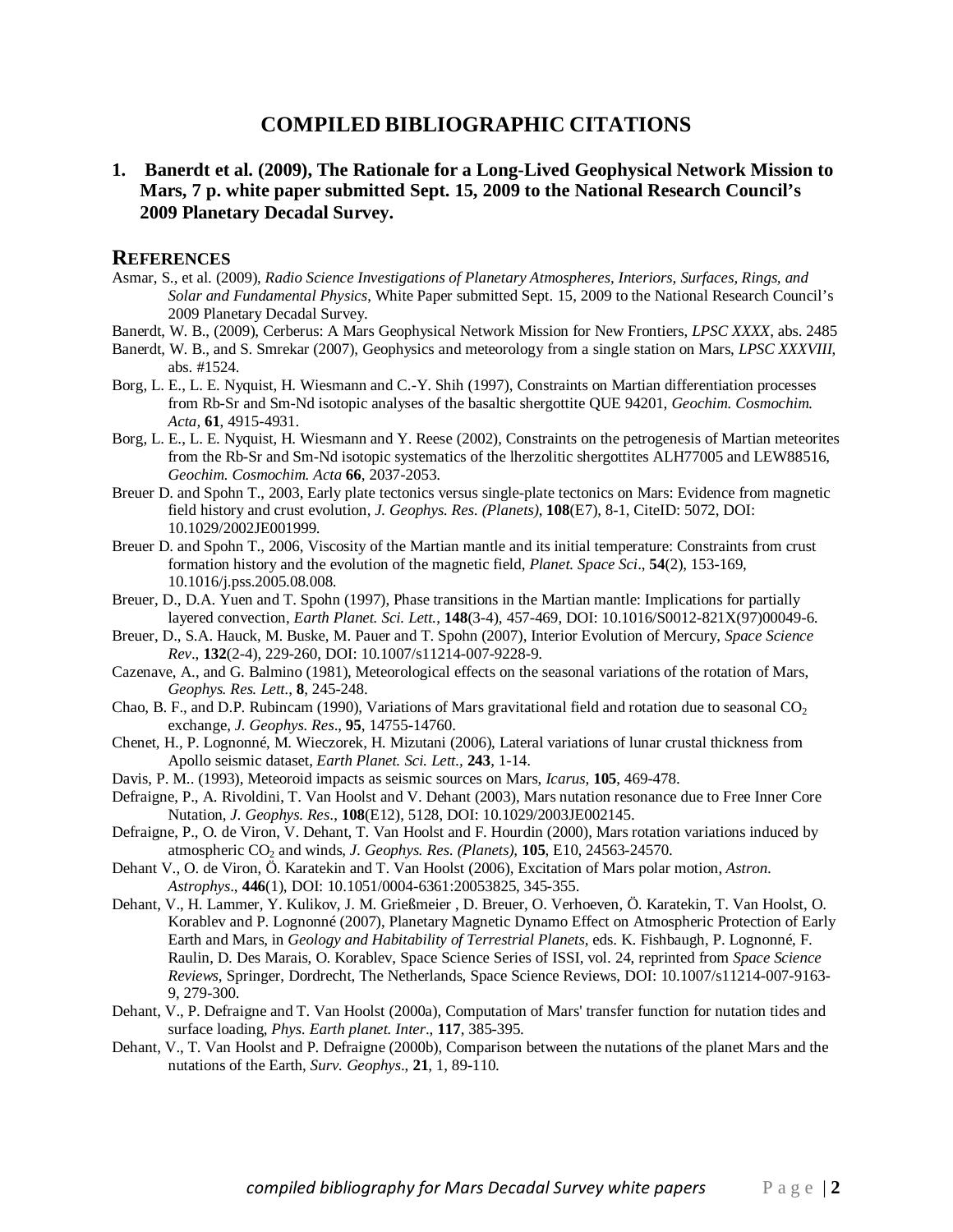# **COMPILED BIBLIOGRAPHIC CITATIONS**

**1. Banerdt et al. (2009), The Rationale for a Long-Lived Geophysical Network Mission to Mars, 7 p. white paper submitted Sept. 15, 2009 to the National Research Council's 2009 Planetary Decadal Survey.** 

- Asmar, S., et al. (2009), *Radio Science Investigations of Planetary Atmospheres, Interiors, Surfaces, Rings, and Solar and Fundamental Physics*, White Paper submitted Sept. 15, 2009 to the National Research Council's 2009 Planetary Decadal Survey.
- Banerdt, W. B., (2009), Cerberus: A Mars Geophysical Network Mission for New Frontiers, *LPSC XXXX*, abs. 2485
- Banerdt, W. B., and S. Smrekar (2007), Geophysics and meteorology from a single station on Mars, *LPSC XXXVIII*, abs. #1524.
- Borg, L. E., L. E. Nyquist, H. Wiesmann and C.-Y. Shih (1997), Constraints on Martian differentiation processes from Rb-Sr and Sm-Nd isotopic analyses of the basaltic shergottite QUE 94201, *Geochim. Cosmochim. Acta,* **61**, 4915-4931.
- Borg, L. E., L. E. Nyquist, H. Wiesmann and Y. Reese (2002), Constraints on the petrogenesis of Martian meteorites from the Rb-Sr and Sm-Nd isotopic systematics of the lherzolitic shergottites ALH77005 and LEW88516, *Geochim. Cosmochim. Acta* **66**, 2037-2053.
- Breuer D. and Spohn T., 2003, Early plate tectonics versus single-plate tectonics on Mars: Evidence from magnetic field history and crust evolution, *J. Geophys. Res. (Planets)*, **108**(E7), 8-1, CiteID: 5072, DOI: 10.1029/2002JE001999.
- Breuer D. and Spohn T., 2006, Viscosity of the Martian mantle and its initial temperature: Constraints from crust formation history and the evolution of the magnetic field, *Planet. Space Sci*., **54**(2), 153-169, 10.1016/j.pss.2005.08.008.
- Breuer, D., D.A. Yuen and T. Spohn (1997), Phase transitions in the Martian mantle: Implications for partially layered convection, *Earth Planet. Sci. Lett.*, **148**(3-4), 457-469, DOI: 10.1016/S0012-821X(97)00049-6.
- Breuer, D., S.A. Hauck, M. Buske, M. Pauer and T. Spohn (2007), Interior Evolution of Mercury, *Space Science Rev*., **132**(2-4), 229-260, DOI: 10.1007/s11214-007-9228-9.
- Cazenave, A., and G. Balmino (1981), Meteorological effects on the seasonal variations of the rotation of Mars, *Geophys. Res. Lett.*, **8**, 245-248.
- Chao, B. F., and D.P. Rubincam (1990), Variations of Mars gravitational field and rotation due to seasonal  $CO<sub>2</sub>$ exchange, *J. Geophys. Res*., **95**, 14755-14760.
- Chenet, H., P. Lognonné, M. Wieczorek, H. Mizutani (2006), Lateral variations of lunar crustal thickness from Apollo seismic dataset, *Earth Planet. Sci. Lett.,* **243**, 1-14.
- Davis, P. M.. (1993), Meteoroid impacts as seismic sources on Mars, *Icarus*, **105**, 469-478.
- Defraigne, P., A. Rivoldini, T. Van Hoolst and V. Dehant (2003), Mars nutation resonance due to Free Inner Core Nutation, *J. Geophys. Res*., **108**(E12), 5128, DOI: 10.1029/2003JE002145.
- Defraigne, P., O. de Viron, V. Dehant, T. Van Hoolst and F. Hourdin (2000), Mars rotation variations induced by atmospheric CO2 and winds, *J. Geophys. Res*. *(Planets),* **105**, E10, 24563-24570.
- Dehant V., O. de Viron, Ö. Karatekin and T. Van Hoolst (2006), Excitation of Mars polar motion, *Astron. Astrophys*., **446**(1), DOI: 10.1051/0004-6361:20053825, 345-355.
- Dehant, V., H. Lammer, Y. Kulikov, J. M. Grießmeier , D. Breuer, O. Verhoeven, Ö. Karatekin, T. Van Hoolst, O. Korablev and P. Lognonné (2007), Planetary Magnetic Dynamo Effect on Atmospheric Protection of Early Earth and Mars, in *Geology and Habitability of Terrestrial Planets*, eds. K. Fishbaugh, P. Lognonné, F. Raulin, D. Des Marais, O. Korablev, Space Science Series of ISSI, vol. 24, reprinted from *Space Science Reviews*, Springer, Dordrecht, The Netherlands, Space Science Reviews, DOI: 10.1007/s11214-007-9163- 9, 279-300.
- Dehant, V., P. Defraigne and T. Van Hoolst (2000a), Computation of Mars' transfer function for nutation tides and surface loading, *Phys. Earth planet. Inter*., **117**, 385-395.
- Dehant, V., T. Van Hoolst and P. Defraigne (2000b), Comparison between the nutations of the planet Mars and the nutations of the Earth, *Surv. Geophys*., **21**, 1, 89-110.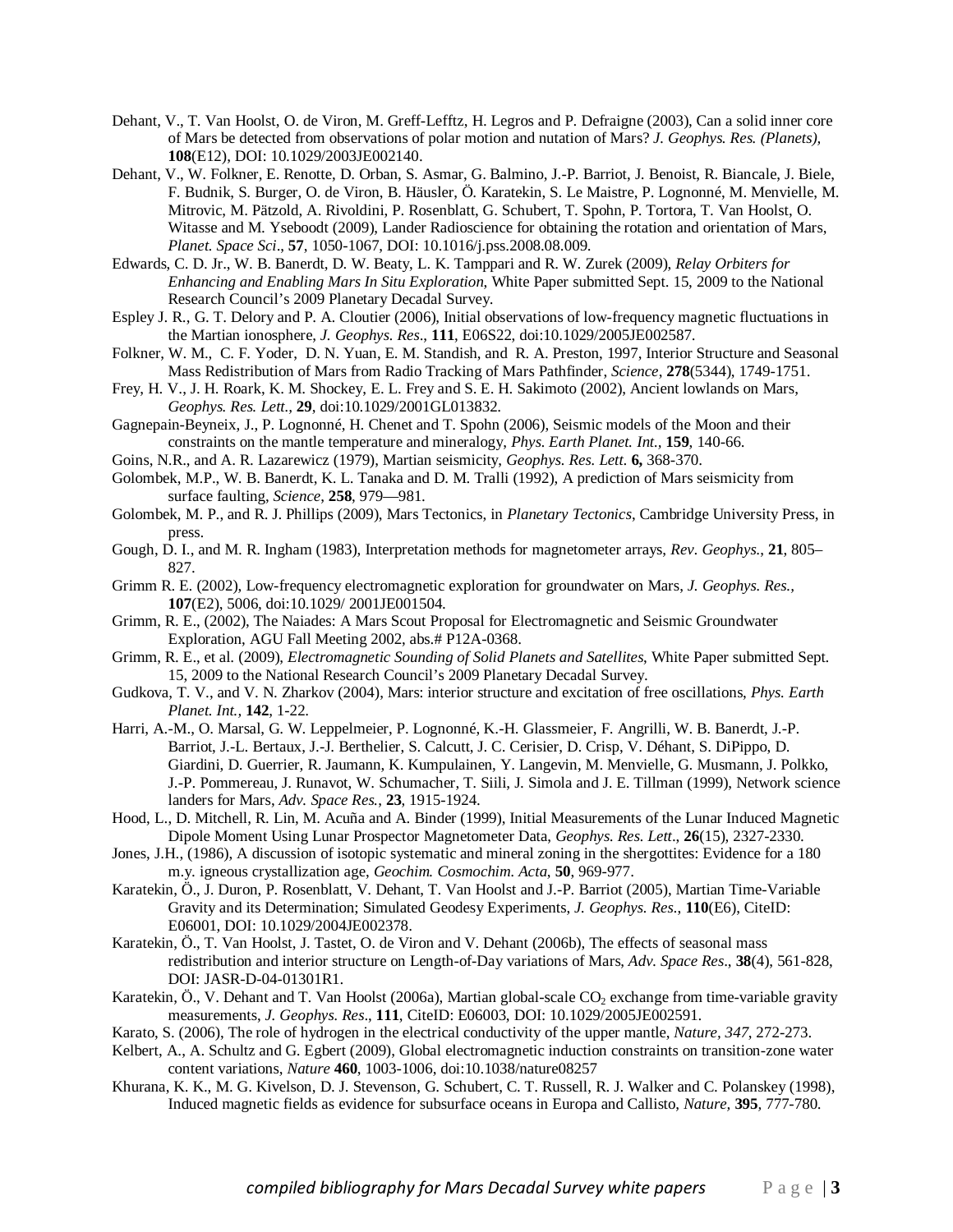- Dehant, V., T. Van Hoolst, O. de Viron, M. Greff-Lefftz, H. Legros and P. Defraigne (2003), Can a solid inner core of Mars be detected from observations of polar motion and nutation of Mars? *J. Geophys. Res. (Planets),* **108**(E12), DOI: 10.1029/2003JE002140.
- Dehant, V., W. Folkner, E. Renotte, D. Orban, S. Asmar, G. Balmino, J.-P. Barriot, J. Benoist, R. Biancale, J. Biele, F. Budnik, S. Burger, O. de Viron, B. Häusler, Ö. Karatekin, S. Le Maistre, P. Lognonné, M. Menvielle, M. Mitrovic, M. Pätzold, A. Rivoldini, P. Rosenblatt, G. Schubert, T. Spohn, P. Tortora, T. Van Hoolst, O. Witasse and M. Yseboodt (2009), Lander Radioscience for obtaining the rotation and orientation of Mars, *Planet. Space Sci*., **57**, 1050-1067, DOI: 10.1016/j.pss.2008.08.009.
- Edwards, C. D. Jr., W. B. Banerdt, D. W. Beaty, L. K. Tamppari and R. W. Zurek (2009), *Relay Orbiters for Enhancing and Enabling Mars In Situ Exploration*, White Paper submitted Sept. 15, 2009 to the National Research Council's 2009 Planetary Decadal Survey.
- Espley J. R., G. T. Delory and P. A. Cloutier (2006), Initial observations of low-frequency magnetic fluctuations in the Martian ionosphere, *J. Geophys. Res*., **111**, E06S22, doi:10.1029/2005JE002587.
- Folkner, W. M., C. F. Yoder, D. N. Yuan, E. M. Standish, and R. A. Preston, 1997, Interior Structure and Seasonal Mass Redistribution of Mars from Radio Tracking of Mars Pathfinder, *Science*, **278**(5344), 1749-1751.
- Frey, H. V., J. H. Roark, K. M. Shockey, E. L. Frey and S. E. H. Sakimoto (2002), Ancient lowlands on Mars, *Geophys. Res. Lett.,* **29**, doi:10.1029/2001GL013832.
- Gagnepain-Beyneix, J., P. Lognonné, H. Chenet and T. Spohn (2006), Seismic models of the Moon and their constraints on the mantle temperature and mineralogy, *Phys. Earth Planet. Int.,* **159**, 140-66.
- Goins, N.R., and A. R. Lazarewicz (1979), Martian seismicity, *Geophys. Res. Lett*. **6,** 368-370.
- Golombek, M.P., W. B. Banerdt, K. L. Tanaka and D. M. Tralli (1992), A prediction of Mars seismicity from surface faulting, *Science*, **258**, 979—981.
- Golombek, M. P., and R. J. Phillips (2009), Mars Tectonics, in *Planetary Tectonics*, Cambridge University Press, in press.
- Gough, D. I., and M. R. Ingham (1983), Interpretation methods for magnetometer arrays, *Rev. Geophys*., **21**, 805– 827.
- Grimm R. E. (2002), Low-frequency electromagnetic exploration for groundwater on Mars, *J. Geophys. Res.,*  **107**(E2), 5006*,* doi:10.1029/ 2001JE001504.
- Grimm, R. E., (2002), The Naiades: A Mars Scout Proposal for Electromagnetic and Seismic Groundwater Exploration, AGU Fall Meeting 2002, abs.# P12A-0368.
- Grimm, R. E., et al. (2009), *Electromagnetic Sounding of Solid Planets and Satellites*, White Paper submitted Sept. 15, 2009 to the National Research Council's 2009 Planetary Decadal Survey.
- Gudkova, T. V., and V. N. Zharkov (2004), Mars: interior structure and excitation of free oscillations, *Phys. Earth Planet. Int.,* **142**, 1-22.
- Harri, A.-M., O. Marsal, G. W. Leppelmeier, P. Lognonné, K.-H. Glassmeier, F. Angrilli, W. B. Banerdt, J.-P. Barriot, J.-L. Bertaux, J.-J. Berthelier, S. Calcutt, J. C. Cerisier, D. Crisp, V. Déhant, S. DiPippo, D. Giardini, D. Guerrier, R. Jaumann, K. Kumpulainen, Y. Langevin, M. Menvielle, G. Musmann, J. Polkko, J.-P. Pommereau, J. Runavot, W. Schumacher, T. Siili, J. Simola and J. E. Tillman (1999), Network science landers for Mars, *Adv. Space Res.*, **23**, 1915-1924.
- Hood, L., D. Mitchell, R. Lin, M. Acuña and A. Binder (1999), Initial Measurements of the Lunar Induced Magnetic Dipole Moment Using Lunar Prospector Magnetometer Data, *Geophys. Res. Lett*., **26**(15), 2327-2330.
- Jones, J.H., (1986), A discussion of isotopic systematic and mineral zoning in the shergottites: Evidence for a 180 m.y. igneous crystallization age, *Geochim. Cosmochim. Acta*, **50**, 969-977.
- Karatekin, Ö., J. Duron, P. Rosenblatt, V. Dehant, T. Van Hoolst and J.-P. Barriot (2005), Martian Time-Variable Gravity and its Determination; Simulated Geodesy Experiments, *J. Geophys. Res.*, **110**(E6), CiteID: E06001, DOI: 10.1029/2004JE002378.
- Karatekin, Ö., T. Van Hoolst, J. Tastet, O. de Viron and V. Dehant (2006b), The effects of seasonal mass redistribution and interior structure on Length-of-Day variations of Mars, *Adv. Space Res*., **38**(4), 561-828, DOI: JASR-D-04-01301R1.
- Karatekin, Ö., V. Dehant and T. Van Hoolst (2006a), Martian global-scale  $CO_2$  exchange from time-variable gravity measurements, *J. Geophys. Res*., **111**, CiteID: E06003, DOI: 10.1029/2005JE002591.
- Karato, S. (2006), The role of hydrogen in the electrical conductivity of the upper mantle, *Nature, 347*, 272-273.
- Kelbert, A., A. Schultz and G. Egbert (2009), Global electromagnetic induction constraints on transition-zone water content variations, *Nature* **460**, 1003-1006, doi:10.1038/nature08257
- Khurana, K. K., M. G. Kivelson, D. J. Stevenson, G. Schubert, C. T. Russell, R. J. Walker and C. Polanskey (1998), Induced magnetic fields as evidence for subsurface oceans in Europa and Callisto, *Nature,* **395***,* 777-780.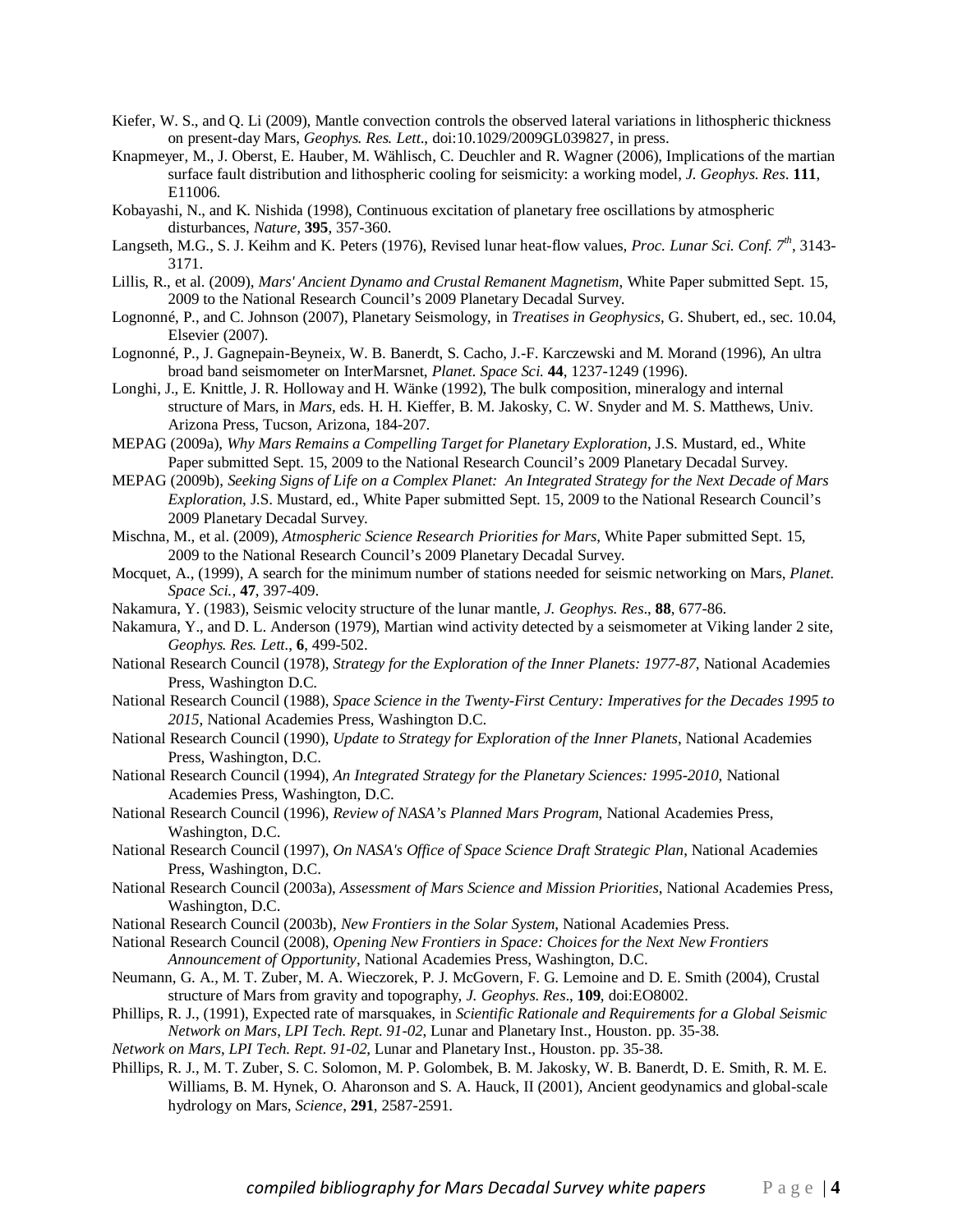- Kiefer, W. S., and Q. Li (2009), Mantle convection controls the observed lateral variations in lithospheric thickness on present-day Mars, *Geophys. Res. Lett*., doi:10.1029/2009GL039827, in press.
- Knapmeyer, M., J. Oberst, E. Hauber, M. Wählisch, C. Deuchler and R. Wagner (2006), Implications of the martian surface fault distribution and lithospheric cooling for seismicity: a working model, *J. Geophys. Res*. **111**, E11006.
- Kobayashi, N., and K. Nishida (1998), Continuous excitation of planetary free oscillations by atmospheric disturbances, *Nature,* **395**, 357-360.
- Langseth, M.G., S. J. Keihm and K. Peters (1976), Revised lunar heat-flow values, *Proc. Lunar Sci. Conf. 7th*, 3143- 3171.
- Lillis, R., et al. (2009), *Mars' Ancient Dynamo and Crustal Remanent Magnetism*, White Paper submitted Sept. 15, 2009 to the National Research Council's 2009 Planetary Decadal Survey.
- Lognonné, P., and C. Johnson (2007), Planetary Seismology, in *Treatises in Geophysics*, G. Shubert, ed., sec. 10.04, Elsevier (2007).
- Lognonné, P., J. Gagnepain-Beyneix, W. B. Banerdt, S. Cacho, J.-F. Karczewski and M. Morand (1996), An ultra broad band seismometer on InterMarsnet, *Planet. Space Sci.* **44**, 1237-1249 (1996).
- Longhi, J., E. Knittle, J. R. Holloway and H. Wänke (1992), The bulk composition, mineralogy and internal structure of Mars, in *Mars*, eds. H. H. Kieffer, B. M. Jakosky, C. W. Snyder and M. S. Matthews, Univ. Arizona Press, Tucson, Arizona, 184-207.
- MEPAG (2009a), *Why Mars Remains a Compelling Target for Planetary Exploration*, J.S. Mustard, ed., White Paper submitted Sept. 15, 2009 to the National Research Council's 2009 Planetary Decadal Survey.
- MEPAG (2009b), *Seeking Signs of Life on a Complex Planet: An Integrated Strategy for the Next Decade of Mars Exploration*, J.S. Mustard, ed., White Paper submitted Sept. 15, 2009 to the National Research Council's 2009 Planetary Decadal Survey.
- Mischna, M., et al. (2009), *Atmospheric Science Research Priorities for Mars*, White Paper submitted Sept. 15, 2009 to the National Research Council's 2009 Planetary Decadal Survey.
- Mocquet, A., (1999), A search for the minimum number of stations needed for seismic networking on Mars, *Planet. Space Sci.,* **47**, 397-409.
- Nakamura, Y. (1983), Seismic velocity structure of the lunar mantle, *J. Geophys. Res*., **88**, 677-86.
- Nakamura, Y., and D. L. Anderson (1979), Martian wind activity detected by a seismometer at Viking lander 2 site, *Geophys. Res. Lett.*, **6**, 499-502.
- National Research Council (1978), *Strategy for the Exploration of the Inner Planets: 1977-87*, National Academies Press, Washington D.C.
- National Research Council (1988), *Space Science in the Twenty-First Century: Imperatives for the Decades 1995 to 2015*, National Academies Press, Washington D.C.
- National Research Council (1990), *Update to Strategy for Exploration of the Inner Planets*, National Academies Press, Washington, D.C.
- National Research Council (1994), *An Integrated Strategy for the Planetary Sciences: 1995-2010*, National Academies Press, Washington, D.C.
- National Research Council (1996), *Review of NASA's Planned Mars Program*, National Academies Press, Washington, D.C.
- National Research Council (1997), *On NASA's Office of Space Science Draft Strategic Plan*, National Academies Press, Washington, D.C.
- National Research Council (2003a), *Assessment of Mars Science and Mission Priorities*, National Academies Press, Washington, D.C.
- National Research Council (2003b), *New Frontiers in the Solar System*, National Academies Press.
- National Research Council (2008), *Opening New Frontiers in Space: Choices for the Next New Frontiers Announcement of Opportunity*, National Academies Press, Washington, D.C.
- Neumann, G. A., M. T. Zuber, M. A. Wieczorek, P. J. McGovern, F. G. Lemoine and D. E. Smith (2004), Crustal structure of Mars from gravity and topography, *J. Geophys. Res*., **109**, doi:EO8002.
- Phillips, R. J., (1991), Expected rate of marsquakes, in *Scientific Rationale and Requirements for a Global Seismic Network on Mars*, *LPI Tech. Rept*. *91-02*, Lunar and Planetary Inst., Houston. pp. 35-38.
- *Network on Mars*, *LPI Tech. Rept*. *91-02*, Lunar and Planetary Inst., Houston. pp. 35-38.
- Phillips, R. J., M. T. Zuber, S. C. Solomon, M. P. Golombek, B. M. Jakosky, W. B. Banerdt, D. E. Smith, R. M. E. Williams, B. M. Hynek, O. Aharonson and S. A. Hauck, II (2001), Ancient geodynamics and global-scale hydrology on Mars, *Science*, **291**, 2587-2591.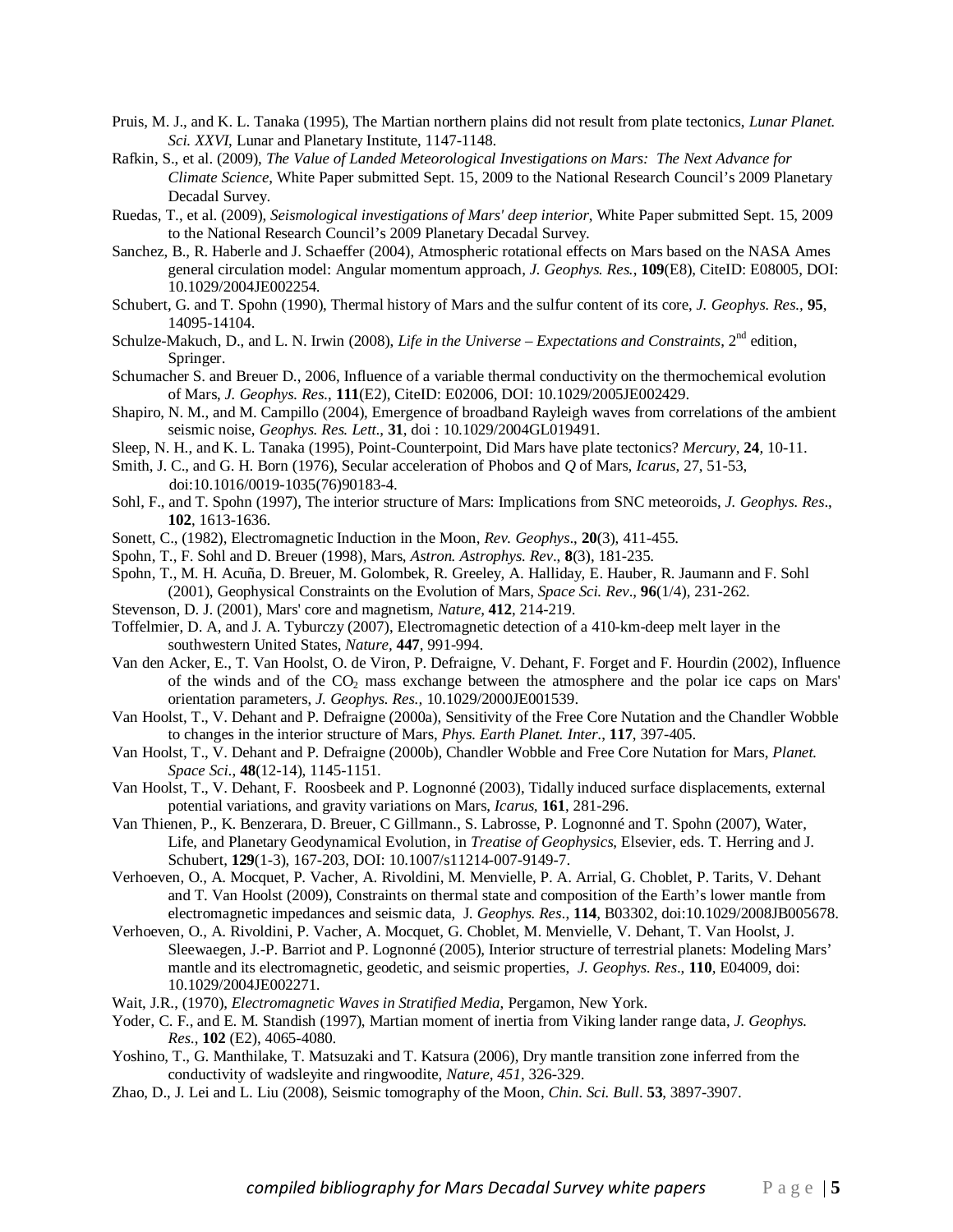- Pruis, M. J., and K. L. Tanaka (1995), The Martian northern plains did not result from plate tectonics, *Lunar Planet. Sci. XXVI*, Lunar and Planetary Institute, 1147-1148.
- Rafkin, S., et al. (2009), *The Value of Landed Meteorological Investigations on Mars: The Next Advance for Climate Science*, White Paper submitted Sept. 15, 2009 to the National Research Council's 2009 Planetary Decadal Survey.
- Ruedas, T., et al. (2009), *Seismological investigations of Mars' deep interior*, White Paper submitted Sept. 15, 2009 to the National Research Council's 2009 Planetary Decadal Survey.
- Sanchez, B., R. Haberle and J. Schaeffer (2004), Atmospheric rotational effects on Mars based on the NASA Ames general circulation model: Angular momentum approach, *J. Geophys. Res.*, **109**(E8), CiteID: E08005, DOI: 10.1029/2004JE002254.
- Schubert, G. and T. Spohn (1990), Thermal history of Mars and the sulfur content of its core, *J. Geophys. Res.,* **95**, 14095-14104.
- Schulze-Makuch, D., and L. N. Irwin (2008), *Life in the Universe Expectations and Constraints*, 2<sup>nd</sup> edition, Springer.
- Schumacher S. and Breuer D., 2006, Influence of a variable thermal conductivity on the thermochemical evolution of Mars, *J. Geophys. Res.*, **111**(E2), CiteID: E02006, DOI: 10.1029/2005JE002429.
- Shapiro, N. M., and M. Campillo (2004), Emergence of broadband Rayleigh waves from correlations of the ambient seismic noise, *Geophys. Res. Lett*., **31**, doi : 10.1029/2004GL019491.
- Sleep, N. H., and K. L. Tanaka (1995), Point-Counterpoint, Did Mars have plate tectonics? *Mercury*, **24**, 10-11.
- Smith, J. C., and G. H. Born (1976), Secular acceleration of Phobos and *Q* of Mars, *Icarus*, 27, 51-53, doi:10.1016/0019-1035(76)90183-4.
- Sohl, F., and T. Spohn (1997), The interior structure of Mars: Implications from SNC meteoroids, *J. Geophys. Res*., **102**, 1613-1636.
- Sonett, C., (1982), Electromagnetic Induction in the Moon, *Rev. Geophys*., **20**(3), 411-455.
- Spohn, T., F. Sohl and D. Breuer (1998), Mars, *Astron. Astrophys. Rev*., **8**(3), 181-235.
- Spohn, T., M. H. Acuña, D. Breuer, M. Golombek, R. Greeley, A. Halliday, E. Hauber, R. Jaumann and F. Sohl (2001), Geophysical Constraints on the Evolution of Mars, *Space Sci. Rev*., **96**(1/4), 231-262.
- Stevenson, D. J. (2001), Mars' core and magnetism, *Nature*, **412**, 214-219.
- Toffelmier, D. A, and J. A. Tyburczy (2007), Electromagnetic detection of a 410-km-deep melt layer in the southwestern United States, *Nature,* **447**, 991-994.
- Van den Acker, E., T. Van Hoolst, O. de Viron, P. Defraigne, V. Dehant, F. Forget and F. Hourdin (2002), Influence of the winds and of the CO<sub>2</sub> mass exchange between the atmosphere and the polar ice caps on Mars' orientation parameters, *J. Geophys. Res.,* 10.1029/2000JE001539.
- Van Hoolst, T., V. Dehant and P. Defraigne (2000a), Sensitivity of the Free Core Nutation and the Chandler Wobble to changes in the interior structure of Mars, *Phys. Earth Planet. Inter*., **117**, 397-405.
- Van Hoolst, T., V. Dehant and P. Defraigne (2000b), Chandler Wobble and Free Core Nutation for Mars, *Planet. Space Sci*., **48**(12-14), 1145-1151.
- Van Hoolst, T., V. Dehant, F. Roosbeek and P. Lognonné (2003), Tidally induced surface displacements, external potential variations, and gravity variations on Mars, *Icarus,* **161**, 281-296.
- Van Thienen, P., K. Benzerara, D. Breuer, C Gillmann., S. Labrosse, P. Lognonné and T. Spohn (2007), Water, Life, and Planetary Geodynamical Evolution, in *Treatise of Geophysics*, Elsevier, eds. T. Herring and J. Schubert, **129**(1-3), 167-203, DOI: 10.1007/s11214-007-9149-7.
- Verhoeven, O., A. Mocquet, P. Vacher, A. Rivoldini, M. Menvielle, P. A. Arrial, G. Choblet, P. Tarits, V. Dehant and T. Van Hoolst (2009), Constraints on thermal state and composition of the Earth's lower mantle from electromagnetic impedances and seismic data, J*. Geophys. Res*., **114**, B03302, doi:10.1029/2008JB005678.
- Verhoeven, O., A. Rivoldini, P. Vacher, A. Mocquet, G. Choblet, M. Menvielle, V. Dehant, T. Van Hoolst, J. Sleewaegen, J.-P. Barriot and P. Lognonné (2005), Interior structure of terrestrial planets: Modeling Mars' mantle and its electromagnetic, geodetic, and seismic properties, *J. Geophys. Res*., **110**, E04009, doi: 10.1029/2004JE002271.
- Wait, J.R., (1970), *Electromagnetic Waves in Stratified Media*, Pergamon, New York.
- Yoder, C. F., and E. M. Standish (1997), Martian moment of inertia from Viking lander range data, *J. Geophys. Res.*, **102** (E2), 4065-4080.
- Yoshino, T., G. Manthilake, T. Matsuzaki and T. Katsura (2006), Dry mantle transition zone inferred from the conductivity of wadsleyite and ringwoodite, *Nature, 451*, 326-329.
- Zhao, D., J. Lei and L. Liu (2008), Seismic tomography of the Moon, *Chin. Sci. Bull*. **53**, 3897-3907.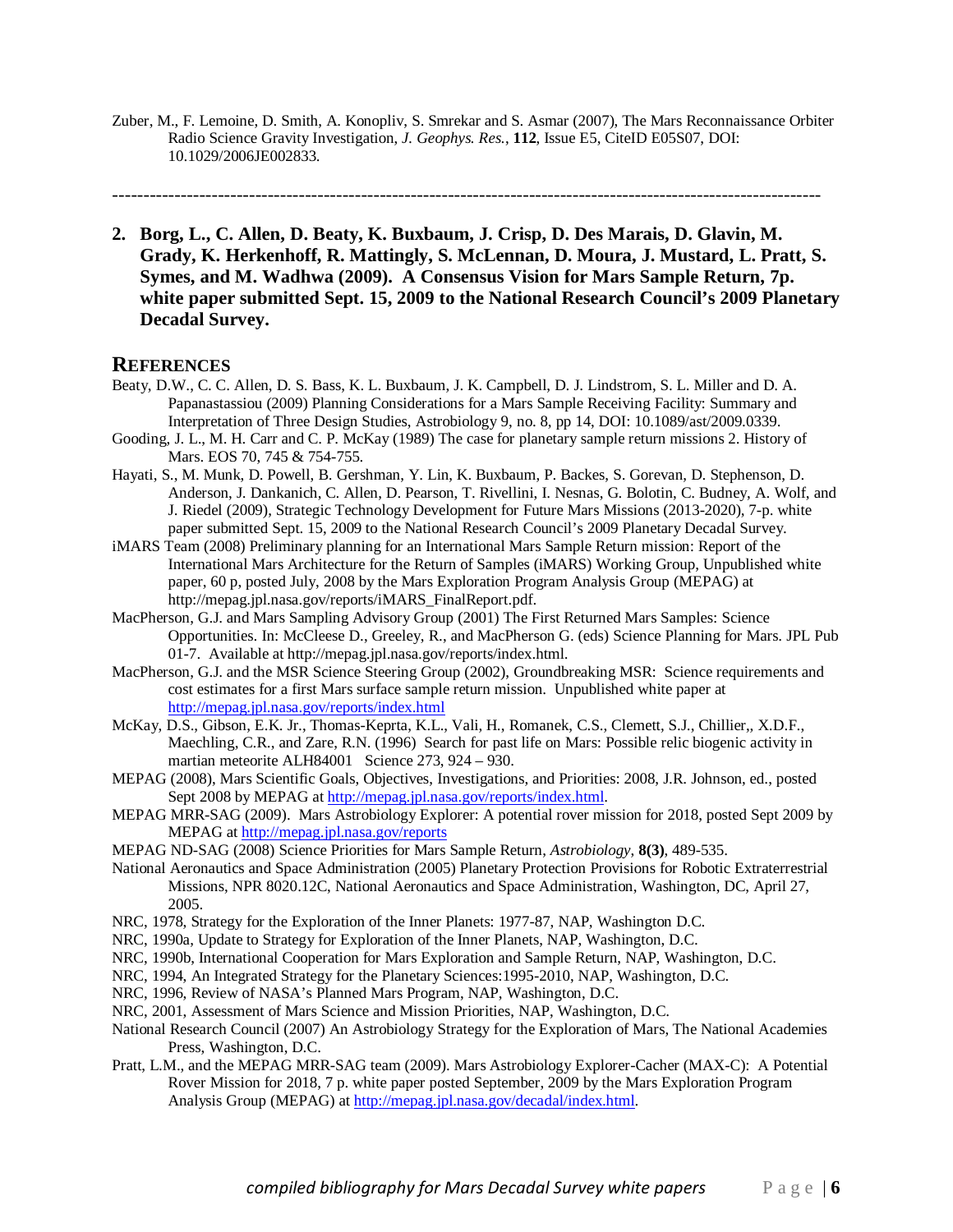Zuber, M., F. Lemoine, D. Smith, A. Konopliv, S. Smrekar and S. Asmar (2007), The Mars Reconnaissance Orbiter Radio Science Gravity Investigation, *J. Geophys. Res.*, **112**, Issue E5, CiteID E05S07, DOI: 10.1029/2006JE002833.

------------------------------------------------------------------------------------------------------------------

**2. Borg, L., C. Allen, D. Beaty, K. Buxbaum, J. Crisp, D. Des Marais, D. Glavin, M. Grady, K. Herkenhoff, R. Mattingly, S. McLennan, D. Moura, J. Mustard, L. Pratt, S. Symes, and M. Wadhwa (2009). A Consensus Vision for Mars Sample Return, 7p. white paper submitted Sept. 15, 2009 to the National Research Council's 2009 Planetary Decadal Survey.** 

- Beaty, D.W., C. C. Allen, D. S. Bass, K. L. Buxbaum, J. K. Campbell, D. J. Lindstrom, S. L. Miller and D. A. Papanastassiou (2009) Planning Considerations for a Mars Sample Receiving Facility: Summary and Interpretation of Three Design Studies, Astrobiology 9, no. 8, pp 14, DOI: 10.1089/ast/2009.0339.
- Gooding, J. L., M. H. Carr and C. P. McKay (1989) The case for planetary sample return missions 2. History of Mars. EOS 70, 745 & 754-755.
- Hayati, S., M. Munk, D. Powell, B. Gershman, Y. Lin, K. Buxbaum, P. Backes, S. Gorevan, D. Stephenson, D. Anderson, J. Dankanich, C. Allen, D. Pearson, T. Rivellini, I. Nesnas, G. Bolotin, C. Budney, A. Wolf, and J. Riedel (2009), Strategic Technology Development for Future Mars Missions (2013-2020), 7-p. white paper submitted Sept. 15, 2009 to the National Research Council's 2009 Planetary Decadal Survey.
- iMARS Team (2008) Preliminary planning for an International Mars Sample Return mission: Report of the International Mars Architecture for the Return of Samples (iMARS) Working Group, Unpublished white paper, 60 p, posted July, 2008 by the Mars Exploration Program Analysis Group (MEPAG) at http://mepag.jpl.nasa.gov/reports/iMARS\_FinalReport.pdf.
- MacPherson, G.J. and Mars Sampling Advisory Group (2001) The First Returned Mars Samples: Science Opportunities. In: McCleese D., Greeley, R., and MacPherson G. (eds) Science Planning for Mars. JPL Pub 01-7. Available at http://mepag.jpl.nasa.gov/reports/index.html.
- MacPherson, G.J. and the MSR Science Steering Group (2002), Groundbreaking MSR: Science requirements and cost estimates for a first Mars surface sample return mission. Unpublished white paper at http://mepag.jpl.nasa.gov/reports/index.html
- McKay, D.S., Gibson, E.K. Jr., Thomas-Keprta, K.L., Vali, H., Romanek, C.S., Clemett, S.J., Chillier,, X.D.F., Maechling, C.R., and Zare, R.N. (1996) Search for past life on Mars: Possible relic biogenic activity in martian meteorite ALH84001 Science 273, 924 – 930.
- MEPAG (2008), Mars Scientific Goals, Objectives, Investigations, and Priorities: 2008, J.R. Johnson, ed., posted Sept 2008 by MEPAG at http://mepag.jpl.nasa.gov/reports/index.html.
- MEPAG MRR-SAG (2009). Mars Astrobiology Explorer: A potential rover mission for 2018, posted Sept 2009 by MEPAG at http://mepag.jpl.nasa.gov/reports
- MEPAG ND-SAG (2008) Science Priorities for Mars Sample Return, *Astrobiology*, **8(3)**, 489-535.
- National Aeronautics and Space Administration (2005) Planetary Protection Provisions for Robotic Extraterrestrial Missions, NPR 8020.12C, National Aeronautics and Space Administration, Washington, DC, April 27, 2005.
- NRC, 1978, Strategy for the Exploration of the Inner Planets: 1977-87, NAP, Washington D.C.
- NRC, 1990a, Update to Strategy for Exploration of the Inner Planets, NAP, Washington, D.C.
- NRC, 1990b, International Cooperation for Mars Exploration and Sample Return, NAP, Washington, D.C.
- NRC, 1994, An Integrated Strategy for the Planetary Sciences:1995-2010, NAP, Washington, D.C.
- NRC, 1996, Review of NASA's Planned Mars Program, NAP, Washington, D.C.
- NRC, 2001, Assessment of Mars Science and Mission Priorities, NAP, Washington, D.C.
- National Research Council (2007) An Astrobiology Strategy for the Exploration of Mars, The National Academies Press, Washington, D.C.
- Pratt, L.M., and the MEPAG MRR-SAG team (2009). Mars Astrobiology Explorer-Cacher (MAX-C): A Potential Rover Mission for 2018, 7 p. white paper posted September, 2009 by the Mars Exploration Program Analysis Group (MEPAG) at http://mepag.jpl.nasa.gov/decadal/index.html.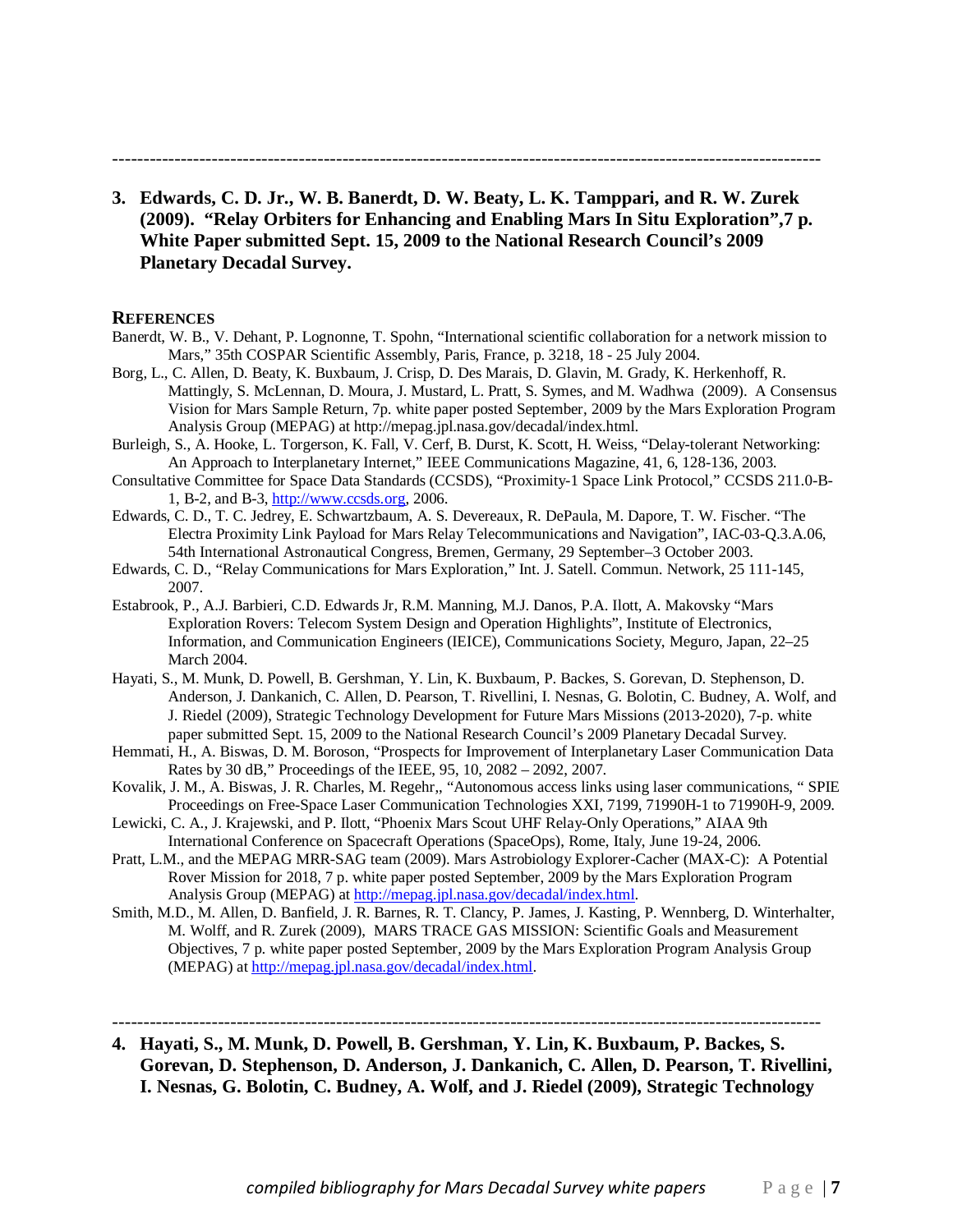------------------------------------------------------------------------------------------------------------------

**3. Edwards, C. D. Jr., W. B. Banerdt, D. W. Beaty, L. K. Tamppari, and R. W. Zurek (2009). "Relay Orbiters for Enhancing and Enabling Mars In Situ Exploration",7 p. White Paper submitted Sept. 15, 2009 to the National Research Council's 2009 Planetary Decadal Survey.** 

#### **REFERENCES**

- Banerdt, W. B., V. Dehant, P. Lognonne, T. Spohn, "International scientific collaboration for a network mission to Mars," 35th COSPAR Scientific Assembly, Paris, France, p. 3218, 18 - 25 July 2004.
- Borg, L., C. Allen, D. Beaty, K. Buxbaum, J. Crisp, D. Des Marais, D. Glavin, M. Grady, K. Herkenhoff, R. Mattingly, S. McLennan, D. Moura, J. Mustard, L. Pratt, S. Symes, and M. Wadhwa (2009). A Consensus Vision for Mars Sample Return, 7p. white paper posted September, 2009 by the Mars Exploration Program Analysis Group (MEPAG) at http://mepag.jpl.nasa.gov/decadal/index.html.
- Burleigh, S., A. Hooke, L. Torgerson, K. Fall, V. Cerf, B. Durst, K. Scott, H. Weiss, "Delay-tolerant Networking: An Approach to Interplanetary Internet," IEEE Communications Magazine, 41, 6, 128-136, 2003.
- Consultative Committee for Space Data Standards (CCSDS), "Proximity-1 Space Link Protocol," CCSDS 211.0-B-1, B-2, and B-3, http://www.ccsds.org, 2006.
- Edwards, C. D., T. C. Jedrey, E. Schwartzbaum, A. S. Devereaux, R. DePaula, M. Dapore, T. W. Fischer. "The Electra Proximity Link Payload for Mars Relay Telecommunications and Navigation", IAC-03-Q.3.A.06, 54th International Astronautical Congress, Bremen, Germany, 29 September–3 October 2003.
- Edwards, C. D., "Relay Communications for Mars Exploration," Int. J. Satell. Commun. Network, 25 111-145, 2007.
- Estabrook, P., A.J. Barbieri, C.D. Edwards Jr, R.M. Manning, M.J. Danos, P.A. Ilott, A. Makovsky "Mars Exploration Rovers: Telecom System Design and Operation Highlights", Institute of Electronics, Information, and Communication Engineers (IEICE), Communications Society, Meguro, Japan, 22–25 March 2004.
- Hayati, S., M. Munk, D. Powell, B. Gershman, Y. Lin, K. Buxbaum, P. Backes, S. Gorevan, D. Stephenson, D. Anderson, J. Dankanich, C. Allen, D. Pearson, T. Rivellini, I. Nesnas, G. Bolotin, C. Budney, A. Wolf, and J. Riedel (2009), Strategic Technology Development for Future Mars Missions (2013-2020), 7-p. white paper submitted Sept. 15, 2009 to the National Research Council's 2009 Planetary Decadal Survey.
- Hemmati, H., A. Biswas, D. M. Boroson, "Prospects for Improvement of Interplanetary Laser Communication Data Rates by 30 dB," Proceedings of the IEEE, 95, 10, 2082 – 2092, 2007.
- Kovalik, J. M., A. Biswas, J. R. Charles, M. Regehr,, "Autonomous access links using laser communications, " SPIE Proceedings on Free-Space Laser Communication Technologies XXI, 7199, 71990H-1 to 71990H-9, 2009.
- Lewicki, C. A., J. Krajewski, and P. Ilott, "Phoenix Mars Scout UHF Relay-Only Operations," AIAA 9th International Conference on Spacecraft Operations (SpaceOps), Rome, Italy, June 19-24, 2006.
- Pratt, L.M., and the MEPAG MRR-SAG team (2009). Mars Astrobiology Explorer-Cacher (MAX-C): A Potential Rover Mission for 2018, 7 p. white paper posted September, 2009 by the Mars Exploration Program Analysis Group (MEPAG) at http://mepag.jpl.nasa.gov/decadal/index.html.
- Smith, M.D., M. Allen, D. Banfield, J. R. Barnes, R. T. Clancy, P. James, J. Kasting, P. Wennberg, D. Winterhalter, M. Wolff, and R. Zurek (2009), MARS TRACE GAS MISSION: Scientific Goals and Measurement Objectives, 7 p. white paper posted September, 2009 by the Mars Exploration Program Analysis Group (MEPAG) at http://mepag.jpl.nasa.gov/decadal/index.html.
- **4. Hayati, S., M. Munk, D. Powell, B. Gershman, Y. Lin, K. Buxbaum, P. Backes, S. Gorevan, D. Stephenson, D. Anderson, J. Dankanich, C. Allen, D. Pearson, T. Rivellini, I. Nesnas, G. Bolotin, C. Budney, A. Wolf, and J. Riedel (2009), Strategic Technology**

------------------------------------------------------------------------------------------------------------------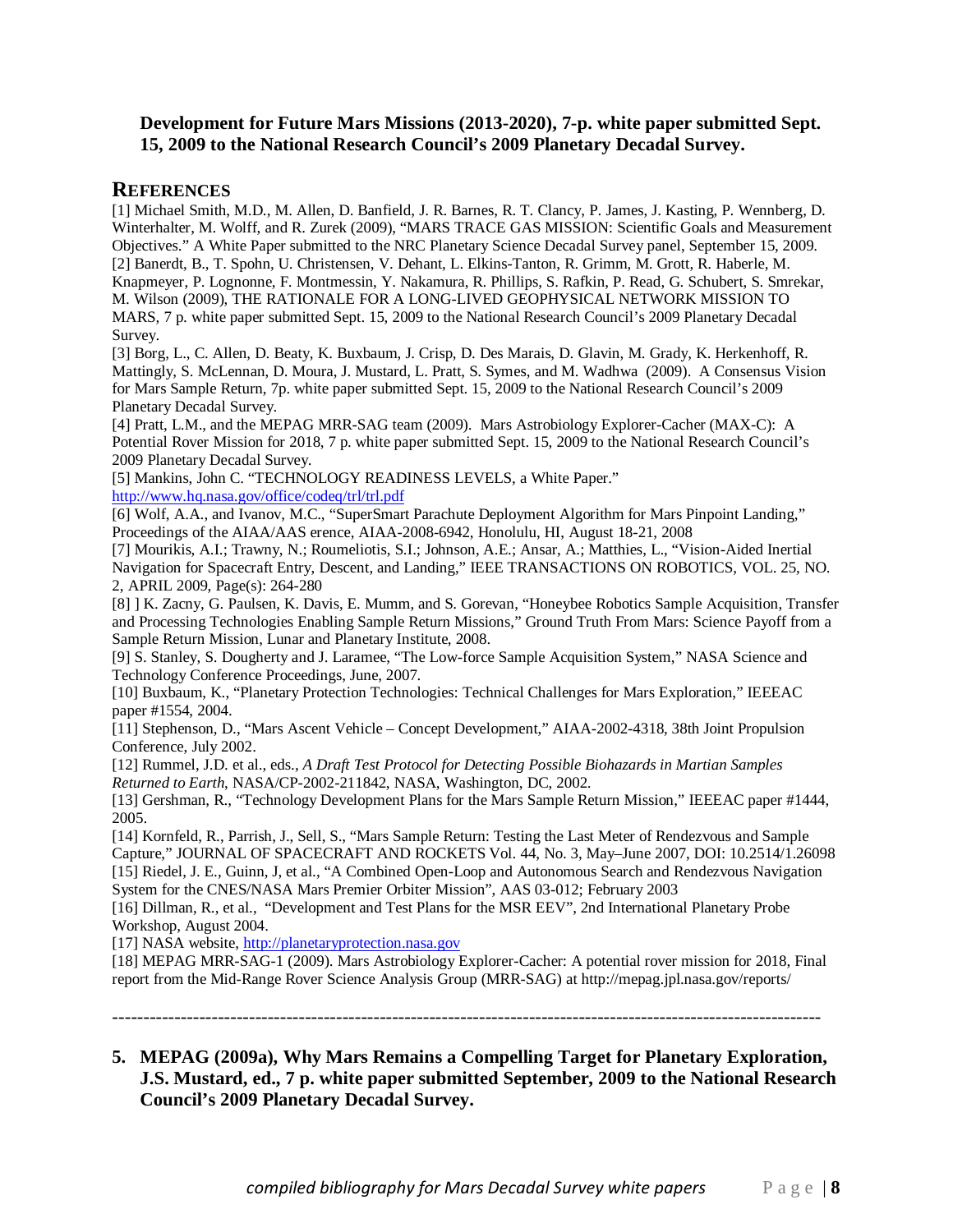# **Development for Future Mars Missions (2013-2020), 7-p. white paper submitted Sept. 15, 2009 to the National Research Council's 2009 Planetary Decadal Survey.**

# **REFERENCES**

[1] Michael Smith, M.D., M. Allen, D. Banfield, J. R. Barnes, R. T. Clancy, P. James, J. Kasting, P. Wennberg, D. Winterhalter, M. Wolff, and R. Zurek (2009), "MARS TRACE GAS MISSION: Scientific Goals and Measurement Objectives." A White Paper submitted to the NRC Planetary Science Decadal Survey panel, September 15, 2009. [2] Banerdt, B., T. Spohn, U. Christensen, V. Dehant, L. Elkins-Tanton, R. Grimm, M. Grott, R. Haberle, M. Knapmeyer, P. Lognonne, F. Montmessin, Y. Nakamura, R. Phillips, S. Rafkin, P. Read, G. Schubert, S. Smrekar, M. Wilson (2009), THE RATIONALE FOR A LONG-LIVED GEOPHYSICAL NETWORK MISSION TO MARS, 7 p. white paper submitted Sept. 15, 2009 to the National Research Council's 2009 Planetary Decadal Survey.

[3] Borg, L., C. Allen, D. Beaty, K. Buxbaum, J. Crisp, D. Des Marais, D. Glavin, M. Grady, K. Herkenhoff, R. Mattingly, S. McLennan, D. Moura, J. Mustard, L. Pratt, S. Symes, and M. Wadhwa (2009). A Consensus Vision for Mars Sample Return, 7p. white paper submitted Sept. 15, 2009 to the National Research Council's 2009 Planetary Decadal Survey.

[4] Pratt, L.M., and the MEPAG MRR-SAG team (2009). Mars Astrobiology Explorer-Cacher (MAX-C): A Potential Rover Mission for 2018, 7 p. white paper submitted Sept. 15, 2009 to the National Research Council's 2009 Planetary Decadal Survey.

[5] Mankins, John C. "TECHNOLOGY READINESS LEVELS, a White Paper."

http://www.hq.nasa.gov/office/codeq/trl/trl.pdf

[6] Wolf, A.A., and Ivanov, M.C., "SuperSmart Parachute Deployment Algorithm for Mars Pinpoint Landing," Proceedings of the AIAA/AAS erence, AIAA-2008-6942, Honolulu, HI, August 18-21, 2008

[7] Mourikis, A.I.; Trawny, N.; Roumeliotis, S.I.; Johnson, A.E.; Ansar, A.; Matthies, L., "Vision-Aided Inertial Navigation for Spacecraft Entry, Descent, and Landing," IEEE TRANSACTIONS ON ROBOTICS, VOL. 25, NO. 2, APRIL 2009, Page(s): 264-280

[8] ] K. Zacny, G. Paulsen, K. Davis, E. Mumm, and S. Gorevan, "Honeybee Robotics Sample Acquisition, Transfer and Processing Technologies Enabling Sample Return Missions," Ground Truth From Mars: Science Payoff from a Sample Return Mission, Lunar and Planetary Institute, 2008.

[9] S. Stanley, S. Dougherty and J. Laramee, "The Low-force Sample Acquisition System," NASA Science and Technology Conference Proceedings, June, 2007.

[10] Buxbaum, K., "Planetary Protection Technologies: Technical Challenges for Mars Exploration," IEEEAC paper #1554, 2004.

[11] Stephenson, D., "Mars Ascent Vehicle – Concept Development," AIAA-2002-4318, 38th Joint Propulsion Conference, July 2002.

[12] Rummel, J.D. et al., eds., *A Draft Test Protocol for Detecting Possible Biohazards in Martian Samples Returned to Earth*, NASA/CP-2002-211842, NASA, Washington, DC, 2002.

[13] Gershman, R., "Technology Development Plans for the Mars Sample Return Mission," IEEEAC paper #1444, 2005.

[14] Kornfeld, R., Parrish, J., Sell, S., "Mars Sample Return: Testing the Last Meter of Rendezvous and Sample Capture," JOURNAL OF SPACECRAFT AND ROCKETS Vol. 44, No. 3, May–June 2007, DOI: 10.2514/1.26098 [15] Riedel, J. E., Guinn, J, et al., "A Combined Open-Loop and Autonomous Search and Rendezvous Navigation System for the CNES/NASA Mars Premier Orbiter Mission", AAS 03-012; February 2003

[16] Dillman, R., et al., "Development and Test Plans for the MSR EEV", 2nd International Planetary Probe Workshop, August 2004.

[17] NASA website, http://planetaryprotection.nasa.gov

[18] MEPAG MRR-SAG-1 (2009). Mars Astrobiology Explorer-Cacher: A potential rover mission for 2018, Final report from the Mid-Range Rover Science Analysis Group (MRR-SAG) at http://mepag.jpl.nasa.gov/reports/

------------------------------------------------------------------------------------------------------------------

# **5. MEPAG (2009a), Why Mars Remains a Compelling Target for Planetary Exploration, J.S. Mustard, ed., 7 p. white paper submitted September, 2009 to the National Research Council's 2009 Planetary Decadal Survey.**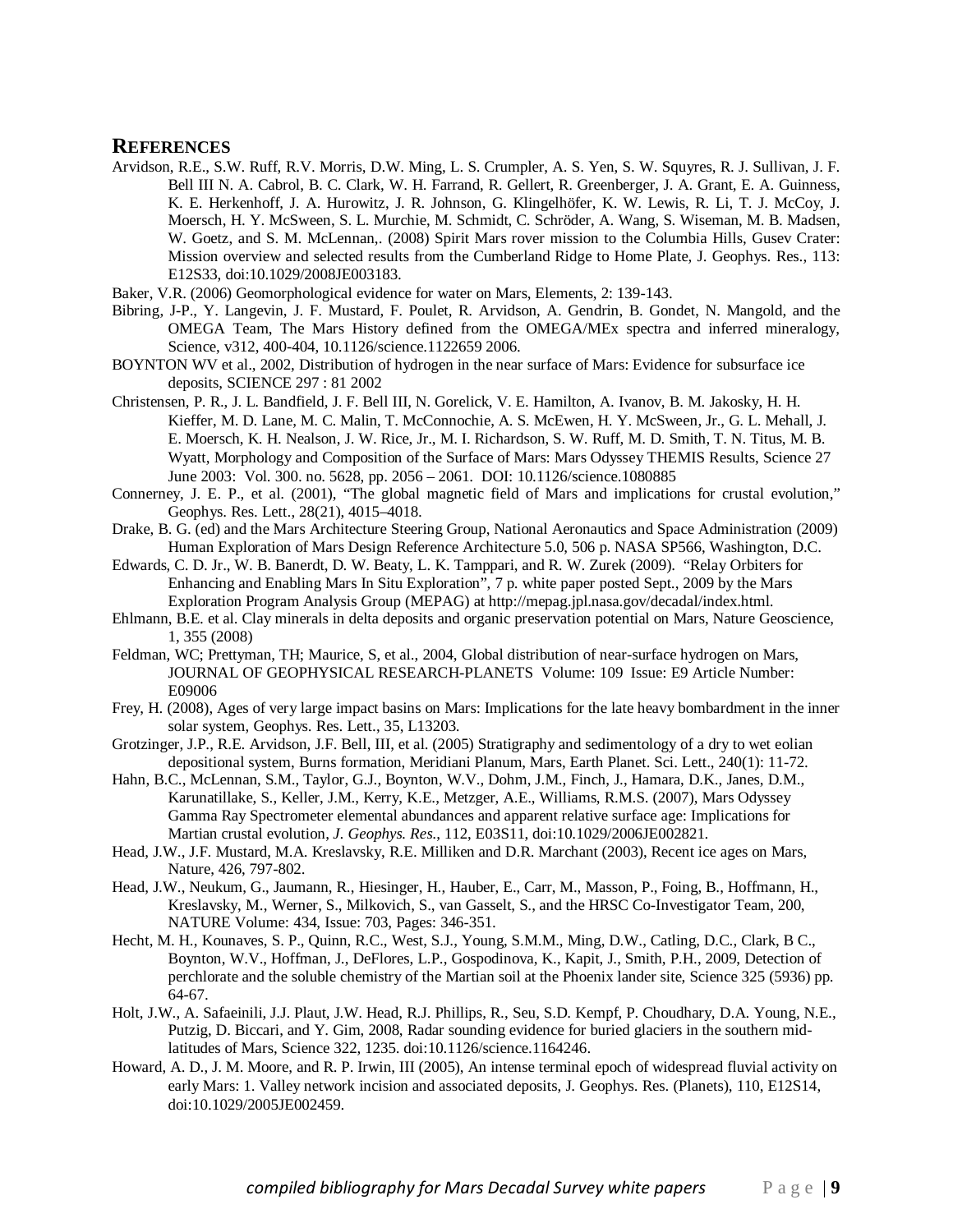- Arvidson, R.E., S.W. Ruff, R.V. Morris, D.W. Ming, L. S. Crumpler, A. S. Yen, S. W. Squyres, R. J. Sullivan, J. F. Bell III N. A. Cabrol, B. C. Clark, W. H. Farrand, R. Gellert, R. Greenberger, J. A. Grant, E. A. Guinness, K. E. Herkenhoff, J. A. Hurowitz, J. R. Johnson, G. Klingelhöfer, K. W. Lewis, R. Li, T. J. McCoy, J. Moersch, H. Y. McSween, S. L. Murchie, M. Schmidt, C. Schröder, A. Wang, S. Wiseman, M. B. Madsen, W. Goetz, and S. M. McLennan,. (2008) Spirit Mars rover mission to the Columbia Hills, Gusev Crater: Mission overview and selected results from the Cumberland Ridge to Home Plate, J. Geophys. Res., 113: E12S33, doi:10.1029/2008JE003183.
- Baker, V.R. (2006) Geomorphological evidence for water on Mars, Elements, 2: 139-143.
- Bibring, J-P., Y. Langevin, J. F. Mustard, F. Poulet, R. Arvidson, A. Gendrin, B. Gondet, N. Mangold, and the OMEGA Team, The Mars History defined from the OMEGA/MEx spectra and inferred mineralogy, Science, v312, 400-404, 10.1126/science.1122659 2006.
- BOYNTON WV et al., 2002, Distribution of hydrogen in the near surface of Mars: Evidence for subsurface ice deposits, SCIENCE 297 : 81 2002
- Christensen, P. R., J. L. Bandfield, J. F. Bell III, N. Gorelick, V. E. Hamilton, A. Ivanov, B. M. Jakosky, H. H. Kieffer, M. D. Lane, M. C. Malin, T. McConnochie, A. S. McEwen, H. Y. McSween, Jr., G. L. Mehall, J. E. Moersch, K. H. Nealson, J. W. Rice, Jr., M. I. Richardson, S. W. Ruff, M. D. Smith, T. N. Titus, M. B. Wyatt, Morphology and Composition of the Surface of Mars: Mars Odyssey THEMIS Results, Science 27 June 2003: Vol. 300. no. 5628, pp. 2056 – 2061. DOI: 10.1126/science.1080885
- Connerney, J. E. P., et al. (2001), "The global magnetic field of Mars and implications for crustal evolution," Geophys. Res. Lett., 28(21), 4015–4018.
- Drake, B. G. (ed) and the Mars Architecture Steering Group, National Aeronautics and Space Administration (2009) Human Exploration of Mars Design Reference Architecture 5.0, 506 p. NASA SP566, Washington, D.C.
- Edwards, C. D. Jr., W. B. Banerdt, D. W. Beaty, L. K. Tamppari, and R. W. Zurek (2009). "Relay Orbiters for Enhancing and Enabling Mars In Situ Exploration", 7 p. white paper posted Sept., 2009 by the Mars Exploration Program Analysis Group (MEPAG) at http://mepag.jpl.nasa.gov/decadal/index.html.
- Ehlmann, B.E. et al. Clay minerals in delta deposits and organic preservation potential on Mars, Nature Geoscience, 1, 355 (2008)
- Feldman, WC; Prettyman, TH; Maurice, S, et al., 2004, Global distribution of near-surface hydrogen on Mars, JOURNAL OF GEOPHYSICAL RESEARCH-PLANETS Volume: 109 Issue: E9 Article Number: E09006
- Frey, H. (2008), Ages of very large impact basins on Mars: Implications for the late heavy bombardment in the inner solar system, Geophys. Res. Lett., 35, L13203.
- Grotzinger, J.P., R.E. Arvidson, J.F. Bell, III, et al. (2005) Stratigraphy and sedimentology of a dry to wet eolian depositional system, Burns formation, Meridiani Planum, Mars, Earth Planet. Sci. Lett., 240(1): 11-72.
- Hahn, B.C., McLennan, S.M., Taylor, G.J., Boynton, W.V., Dohm, J.M., Finch, J., Hamara, D.K., Janes, D.M., Karunatillake, S., Keller, J.M., Kerry, K.E., Metzger, A.E., Williams, R.M.S. (2007), Mars Odyssey Gamma Ray Spectrometer elemental abundances and apparent relative surface age: Implications for Martian crustal evolution, *J. Geophys. Res*., 112, E03S11, doi:10.1029/2006JE002821.
- Head, J.W., J.F. Mustard, M.A. Kreslavsky, R.E. Milliken and D.R. Marchant (2003), Recent ice ages on Mars, Nature, 426, 797-802.
- Head, J.W., Neukum, G., Jaumann, R., Hiesinger, H., Hauber, E., Carr, M., Masson, P., Foing, B., Hoffmann, H., Kreslavsky, M., Werner, S., Milkovich, S., van Gasselt, S., and the HRSC Co-Investigator Team, 200, NATURE Volume: 434, Issue: 703, Pages: 346-351.
- Hecht, M. H., Kounaves, S. P., Quinn, R.C., West, S.J., Young, S.M.M., Ming, D.W., Catling, D.C., Clark, B C., Boynton, W.V., Hoffman, J., DeFlores, L.P., Gospodinova, K., Kapit, J., Smith, P.H., 2009, Detection of perchlorate and the soluble chemistry of the Martian soil at the Phoenix lander site, Science 325 (5936) pp. 64-67.
- Holt, J.W., A. Safaeinili, J.J. Plaut, J.W. Head, R.J. Phillips, R., Seu, S.D. Kempf, P. Choudhary, D.A. Young, N.E., Putzig, D. Biccari, and Y. Gim, 2008, Radar sounding evidence for buried glaciers in the southern midlatitudes of Mars, Science 322, 1235. doi:10.1126/science.1164246.
- Howard, A. D., J. M. Moore, and R. P. Irwin, III (2005), An intense terminal epoch of widespread fluvial activity on early Mars: 1. Valley network incision and associated deposits, J. Geophys. Res. (Planets), 110, E12S14, doi:10.1029/2005JE002459.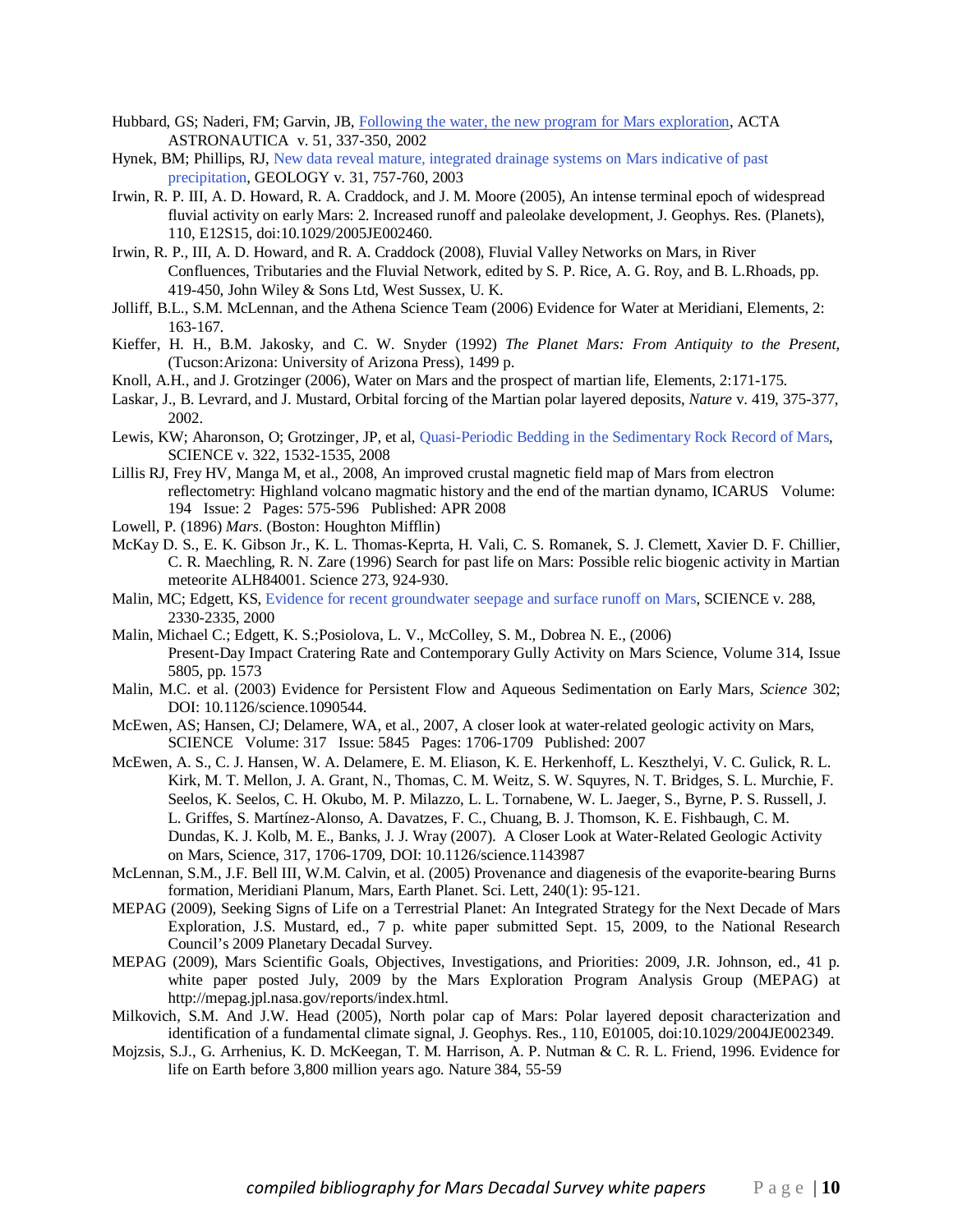- Hubbard, GS; Naderi, FM; Garvin, JB, Following the water, the new program for Mars exploration, ACTA ASTRONAUTICA v. 51, 337-350, 2002
- Hynek, BM; Phillips, RJ, New data reveal mature, integrated drainage systems on Mars indicative of past precipitation, GEOLOGY v. 31, 757-760, 2003
- Irwin, R. P. III, A. D. Howard, R. A. Craddock, and J. M. Moore (2005), An intense terminal epoch of widespread fluvial activity on early Mars: 2. Increased runoff and paleolake development, J. Geophys. Res. (Planets), 110, E12S15, doi:10.1029/2005JE002460.
- Irwin, R. P., III, A. D. Howard, and R. A. Craddock (2008), Fluvial Valley Networks on Mars, in River Confluences, Tributaries and the Fluvial Network, edited by S. P. Rice, A. G. Roy, and B. L.Rhoads, pp. 419-450, John Wiley & Sons Ltd, West Sussex, U. K.
- Jolliff, B.L., S.M. McLennan, and the Athena Science Team (2006) Evidence for Water at Meridiani, Elements, 2: 163-167.
- Kieffer, H. H., B.M. Jakosky, and C. W. Snyder (1992) *The Planet Mars: From Antiquity to the Present,*  (Tucson:Arizona: University of Arizona Press), 1499 p.
- Knoll, A.H., and J. Grotzinger (2006), Water on Mars and the prospect of martian life, Elements, 2:171-175.
- Laskar, J., B. Levrard, and J. Mustard, Orbital forcing of the Martian polar layered deposits, *Nature* v. 419, 375-377, 2002.
- Lewis, KW; Aharonson, O; Grotzinger, JP, et al, Quasi-Periodic Bedding in the Sedimentary Rock Record of Mars, SCIENCE v. 322, 1532-1535, 2008
- Lillis RJ, Frey HV, Manga M, et al., 2008, An improved crustal magnetic field map of Mars from electron reflectometry: Highland volcano magmatic history and the end of the martian dynamo, ICARUS Volume: 194 Issue: 2 Pages: 575-596 Published: APR 2008
- Lowell, P. (1896) *Mars*. (Boston: Houghton Mifflin)
- McKay D. S., E. K. Gibson Jr., K. L. Thomas-Keprta, H. Vali, C. S. Romanek, S. J. Clemett, Xavier D. F. Chillier, C. R. Maechling, R. N. Zare (1996) Search for past life on Mars: Possible relic biogenic activity in Martian meteorite ALH84001. Science 273, 924-930.
- Malin, MC; Edgett, KS, Evidence for recent groundwater seepage and surface runoff on Mars, SCIENCE v. 288, 2330-2335, 2000
- Malin, Michael C.; Edgett, K. S.;Posiolova, L. V., McColley, S. M., Dobrea N. E., (2006) Present-Day Impact Cratering Rate and Contemporary Gully Activity on Mars Science, Volume 314, Issue 5805, pp. 1573
- Malin, M.C. et al. (2003) Evidence for Persistent Flow and Aqueous Sedimentation on Early Mars, *Science* 302; DOI: 10.1126/science.1090544.
- McEwen, AS; Hansen, CJ; Delamere, WA, et al., 2007, A closer look at water-related geologic activity on Mars, SCIENCE Volume: 317 Issue: 5845 Pages: 1706-1709 Published: 2007
- McEwen, A. S., C. J. Hansen, W. A. Delamere, E. M. Eliason, K. E. Herkenhoff, L. Keszthelyi, V. C. Gulick, R. L. Kirk, M. T. Mellon, J. A. Grant, N., Thomas, C. M. Weitz, S. W. Squyres, N. T. Bridges, S. L. Murchie, F. Seelos, K. Seelos, C. H. Okubo, M. P. Milazzo, L. L. Tornabene, W. L. Jaeger, S., Byrne, P. S. Russell, J. L. Griffes, S. Martínez-Alonso, A. Davatzes, F. C., Chuang, B. J. Thomson, K. E. Fishbaugh, C. M. Dundas, K. J. Kolb, M. E., Banks, J. J. Wray (2007). A Closer Look at Water-Related Geologic Activity on Mars, Science, 317, 1706-1709, DOI: 10.1126/science.1143987
- McLennan, S.M., J.F. Bell III, W.M. Calvin, et al. (2005) Provenance and diagenesis of the evaporite-bearing Burns formation, Meridiani Planum, Mars, Earth Planet. Sci. Lett, 240(1): 95-121.
- MEPAG (2009), Seeking Signs of Life on a Terrestrial Planet: An Integrated Strategy for the Next Decade of Mars Exploration, J.S. Mustard, ed., 7 p. white paper submitted Sept. 15, 2009, to the National Research Council's 2009 Planetary Decadal Survey.
- MEPAG (2009), Mars Scientific Goals, Objectives, Investigations, and Priorities: 2009, J.R. Johnson, ed., 41 p. white paper posted July, 2009 by the Mars Exploration Program Analysis Group (MEPAG) at http://mepag.jpl.nasa.gov/reports/index.html.
- Milkovich, S.M. And J.W. Head (2005), North polar cap of Mars: Polar layered deposit characterization and identification of a fundamental climate signal, J. Geophys. Res., 110, E01005, doi:10.1029/2004JE002349.
- Mojzsis, S.J., G. Arrhenius, K. D. McKeegan, T. M. Harrison, A. P. Nutman & C. R. L. Friend, 1996. Evidence for life on Earth before 3,800 million years ago. Nature 384, 55-59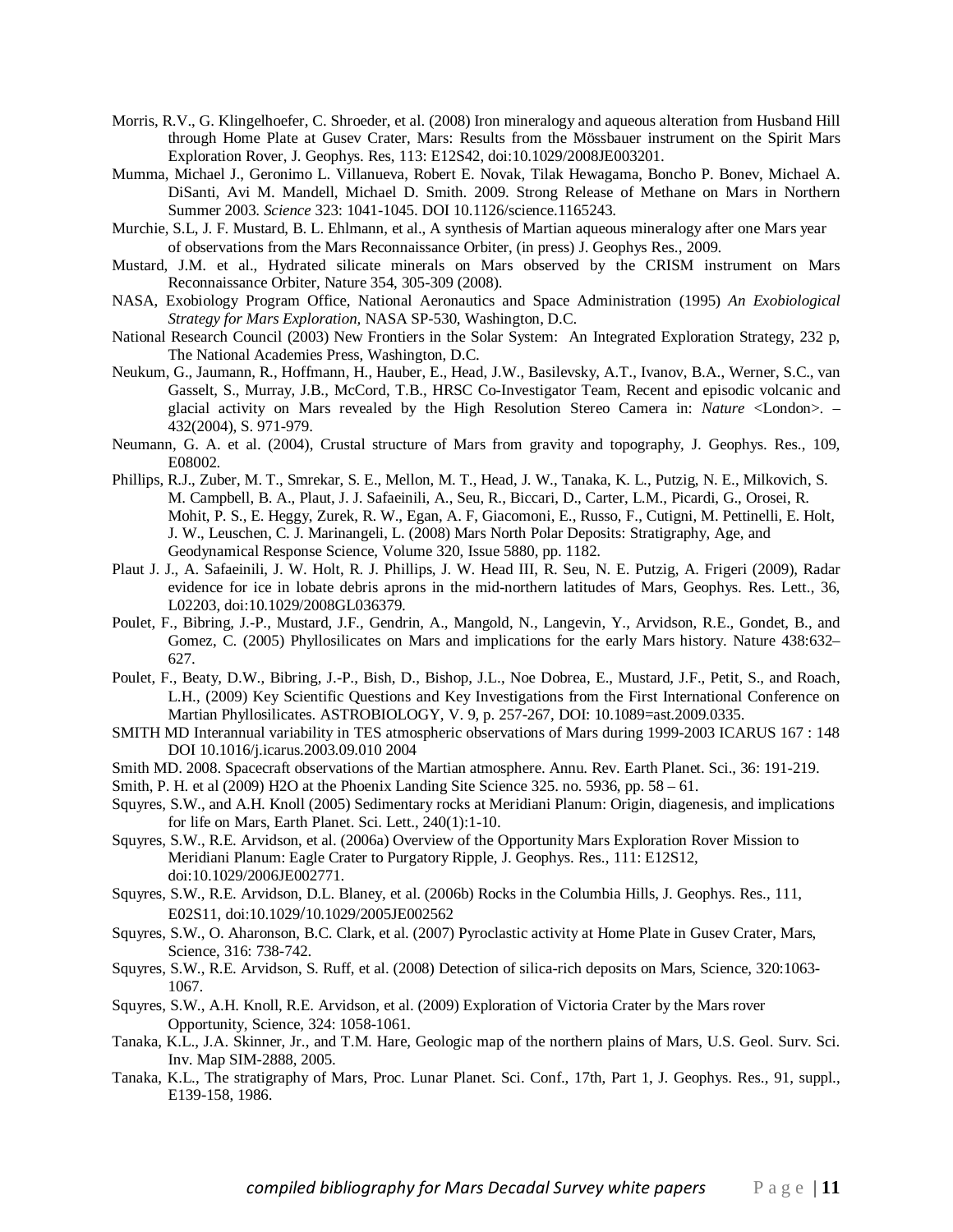- Morris, R.V., G. Klingelhoefer, C. Shroeder, et al. (2008) Iron mineralogy and aqueous alteration from Husband Hill through Home Plate at Gusev Crater, Mars: Results from the Mössbauer instrument on the Spirit Mars Exploration Rover, J. Geophys. Res, 113: E12S42, doi:10.1029/2008JE003201.
- Mumma, Michael J., Geronimo L. Villanueva, Robert E. Novak, Tilak Hewagama, Boncho P. Bonev, Michael A. DiSanti, Avi M. Mandell, Michael D. Smith. 2009. Strong Release of Methane on Mars in Northern Summer 2003. *Science* 323: 1041-1045. DOI 10.1126/science.1165243.
- Murchie, S.L, J. F. Mustard, B. L. Ehlmann, et al., A synthesis of Martian aqueous mineralogy after one Mars year of observations from the Mars Reconnaissance Orbiter, (in press) J. Geophys Res., 2009.
- Mustard, J.M. et al., Hydrated silicate minerals on Mars observed by the CRISM instrument on Mars Reconnaissance Orbiter, Nature 354, 305-309 (2008).
- NASA, Exobiology Program Office, National Aeronautics and Space Administration (1995) *An Exobiological Strategy for Mars Exploration,* NASA SP-530, Washington, D.C.
- National Research Council (2003) New Frontiers in the Solar System: An Integrated Exploration Strategy, 232 p, The National Academies Press, Washington, D.C.
- Neukum, G., Jaumann, R., Hoffmann, H., Hauber, E., Head, J.W., Basilevsky, A.T., Ivanov, B.A., Werner, S.C., van Gasselt, S., Murray, J.B., McCord, T.B., HRSC Co-Investigator Team, Recent and episodic volcanic and glacial activity on Mars revealed by the High Resolution Stereo Camera in: *Nature* <London>. – 432(2004), S. 971-979.
- Neumann, G. A. et al. (2004), Crustal structure of Mars from gravity and topography, J. Geophys. Res., 109, E08002.
- Phillips, R.J., Zuber, M. T., Smrekar, S. E., Mellon, M. T., Head, J. W., Tanaka, K. L., Putzig, N. E., Milkovich, S. M. Campbell, B. A., Plaut, J. J. Safaeinili, A., Seu, R., Biccari, D., Carter, L.M., Picardi, G., Orosei, R. Mohit, P. S., E. Heggy, Zurek, R. W., Egan, A. F, Giacomoni, E., Russo, F., Cutigni, M. Pettinelli, E. Holt, J. W., Leuschen, C. J. Marinangeli, L. (2008) Mars North Polar Deposits: Stratigraphy, Age, and Geodynamical Response Science, Volume 320, Issue 5880, pp. 1182.
- Plaut J. J., A. Safaeinili, J. W. Holt, R. J. Phillips, J. W. Head III, R. Seu, N. E. Putzig, A. Frigeri (2009), Radar evidence for ice in lobate debris aprons in the mid-northern latitudes of Mars, Geophys. Res. Lett., 36, L02203, doi:10.1029/2008GL036379.
- Poulet, F., Bibring, J.-P., Mustard, J.F., Gendrin, A., Mangold, N., Langevin, Y., Arvidson, R.E., Gondet, B., and Gomez, C. (2005) Phyllosilicates on Mars and implications for the early Mars history. Nature 438:632– 627.
- Poulet, F., Beaty, D.W., Bibring, J.-P., Bish, D., Bishop, J.L., Noe Dobrea, E., Mustard, J.F., Petit, S., and Roach, L.H., (2009) Key Scientific Questions and Key Investigations from the First International Conference on Martian Phyllosilicates. ASTROBIOLOGY, V. 9, p. 257-267, DOI: 10.1089=ast.2009.0335.
- SMITH MD Interannual variability in TES atmospheric observations of Mars during 1999-2003 ICARUS 167 : 148 DOI 10.1016/j.icarus.2003.09.010 2004
- Smith MD. 2008. Spacecraft observations of the Martian atmosphere. Annu. Rev. Earth Planet. Sci., 36: 191-219.
- Smith, P. H. et al  $(2009)$  H2O at the Phoenix Landing Site Science 325. no. 5936, pp. 58 61.
- Squyres, S.W., and A.H. Knoll (2005) Sedimentary rocks at Meridiani Planum: Origin, diagenesis, and implications for life on Mars, Earth Planet. Sci. Lett., 240(1):1-10.
- Squyres, S.W., R.E. Arvidson, et al. (2006a) Overview of the Opportunity Mars Exploration Rover Mission to Meridiani Planum: Eagle Crater to Purgatory Ripple, J. Geophys. Res., 111: E12S12, doi:10.1029/2006JE002771.
- Squyres, S.W., R.E. Arvidson, D.L. Blaney, et al. (2006b) Rocks in the Columbia Hills, J. Geophys. Res., 111, E02S11, doi:10.1029/10.1029/2005JE002562
- Squyres, S.W., O. Aharonson, B.C. Clark, et al. (2007) Pyroclastic activity at Home Plate in Gusev Crater, Mars, Science, 316: 738-742.
- Squyres, S.W., R.E. Arvidson, S. Ruff, et al. (2008) Detection of silica-rich deposits on Mars, Science, 320:1063- 1067.
- Squyres, S.W., A.H. Knoll, R.E. Arvidson, et al. (2009) Exploration of Victoria Crater by the Mars rover Opportunity, Science, 324: 1058-1061.
- Tanaka, K.L., J.A. Skinner, Jr., and T.M. Hare, Geologic map of the northern plains of Mars, U.S. Geol. Surv. Sci. Inv. Map SIM-2888, 2005.
- Tanaka, K.L., The stratigraphy of Mars, Proc. Lunar Planet. Sci. Conf., 17th, Part 1, J. Geophys. Res., 91, suppl., E139-158, 1986.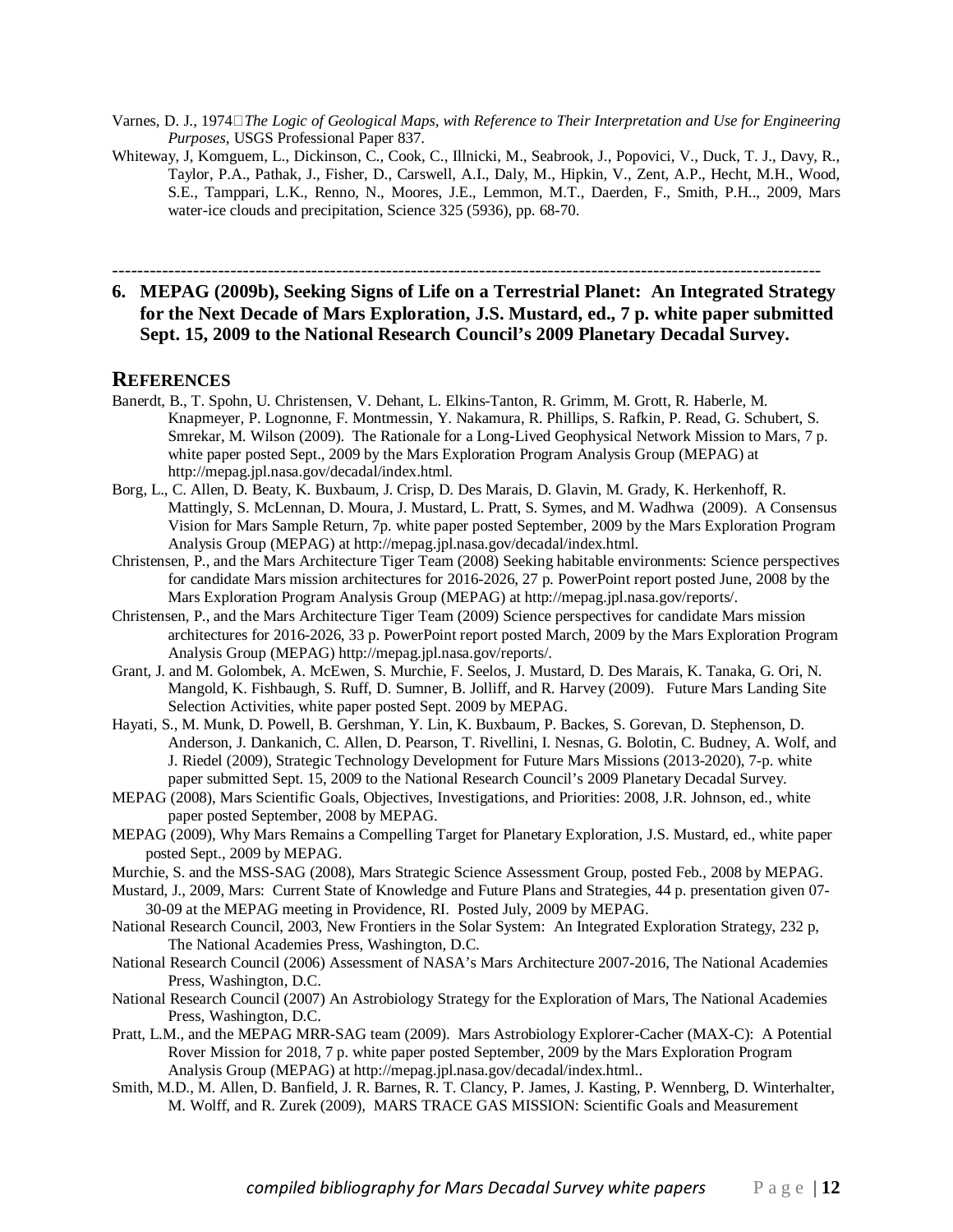- Varnes, D. J., 1974*The Logic of Geological Maps, with Reference to Their Interpretation and Use for Engineering Purposes*, USGS Professional Paper 837.
- Whiteway, J, Komguem, L., Dickinson, C., Cook, C., Illnicki, M., Seabrook, J., Popovici, V., Duck, T. J., Davy, R., Taylor, P.A., Pathak, J., Fisher, D., Carswell, A.I., Daly, M., Hipkin, V., Zent, A.P., Hecht, M.H., Wood, S.E., Tamppari, L.K., Renno, N., Moores, J.E., Lemmon, M.T., Daerden, F., Smith, P.H.., 2009, Mars water-ice clouds and precipitation, Science 325 (5936), pp. 68-70.

------------------------------------------------------------------------------------------------------------------

# **6. MEPAG (2009b), Seeking Signs of Life on a Terrestrial Planet: An Integrated Strategy for the Next Decade of Mars Exploration, J.S. Mustard, ed., 7 p. white paper submitted Sept. 15, 2009 to the National Research Council's 2009 Planetary Decadal Survey.**

- Banerdt, B., T. Spohn, U. Christensen, V. Dehant, L. Elkins-Tanton, R. Grimm, M. Grott, R. Haberle, M. Knapmeyer, P. Lognonne, F. Montmessin, Y. Nakamura, R. Phillips, S. Rafkin, P. Read, G. Schubert, S. Smrekar, M. Wilson (2009). The Rationale for a Long-Lived Geophysical Network Mission to Mars, 7 p. white paper posted Sept., 2009 by the Mars Exploration Program Analysis Group (MEPAG) at http://mepag.jpl.nasa.gov/decadal/index.html.
- Borg, L., C. Allen, D. Beaty, K. Buxbaum, J. Crisp, D. Des Marais, D. Glavin, M. Grady, K. Herkenhoff, R. Mattingly, S. McLennan, D. Moura, J. Mustard, L. Pratt, S. Symes, and M. Wadhwa (2009). A Consensus Vision for Mars Sample Return, 7p. white paper posted September, 2009 by the Mars Exploration Program Analysis Group (MEPAG) at http://mepag.jpl.nasa.gov/decadal/index.html.
- Christensen, P., and the Mars Architecture Tiger Team (2008) Seeking habitable environments: Science perspectives for candidate Mars mission architectures for 2016-2026, 27 p. PowerPoint report posted June, 2008 by the Mars Exploration Program Analysis Group (MEPAG) at http://mepag.jpl.nasa.gov/reports/.
- Christensen, P., and the Mars Architecture Tiger Team (2009) Science perspectives for candidate Mars mission architectures for 2016-2026, 33 p. PowerPoint report posted March, 2009 by the Mars Exploration Program Analysis Group (MEPAG) http://mepag.jpl.nasa.gov/reports/.
- Grant, J. and M. Golombek, A. McEwen, S. Murchie, F. Seelos, J. Mustard, D. Des Marais, K. Tanaka, G. Ori, N. Mangold, K. Fishbaugh, S. Ruff, D. Sumner, B. Jolliff, and R. Harvey (2009). Future Mars Landing Site Selection Activities, white paper posted Sept. 2009 by MEPAG.
- Hayati, S., M. Munk, D. Powell, B. Gershman, Y. Lin, K. Buxbaum, P. Backes, S. Gorevan, D. Stephenson, D. Anderson, J. Dankanich, C. Allen, D. Pearson, T. Rivellini, I. Nesnas, G. Bolotin, C. Budney, A. Wolf, and J. Riedel (2009), Strategic Technology Development for Future Mars Missions (2013-2020), 7-p. white paper submitted Sept. 15, 2009 to the National Research Council's 2009 Planetary Decadal Survey.
- MEPAG (2008), Mars Scientific Goals, Objectives, Investigations, and Priorities: 2008, J.R. Johnson, ed., white paper posted September, 2008 by MEPAG.
- MEPAG (2009), Why Mars Remains a Compelling Target for Planetary Exploration, J.S. Mustard, ed., white paper posted Sept., 2009 by MEPAG.
- Murchie, S. and the MSS-SAG (2008), Mars Strategic Science Assessment Group, posted Feb., 2008 by MEPAG.
- Mustard, J., 2009, Mars: Current State of Knowledge and Future Plans and Strategies, 44 p. presentation given 07- 30-09 at the MEPAG meeting in Providence, RI. Posted July, 2009 by MEPAG.
- National Research Council, 2003, New Frontiers in the Solar System: An Integrated Exploration Strategy, 232 p, The National Academies Press, Washington, D.C.
- National Research Council (2006) Assessment of NASA's Mars Architecture 2007-2016, The National Academies Press, Washington, D.C.
- National Research Council (2007) An Astrobiology Strategy for the Exploration of Mars, The National Academies Press, Washington, D.C.
- Pratt, L.M., and the MEPAG MRR-SAG team (2009). Mars Astrobiology Explorer-Cacher (MAX-C): A Potential Rover Mission for 2018, 7 p. white paper posted September, 2009 by the Mars Exploration Program Analysis Group (MEPAG) at http://mepag.jpl.nasa.gov/decadal/index.html..
- Smith, M.D., M. Allen, D. Banfield, J. R. Barnes, R. T. Clancy, P. James, J. Kasting, P. Wennberg, D. Winterhalter, M. Wolff, and R. Zurek (2009), MARS TRACE GAS MISSION: Scientific Goals and Measurement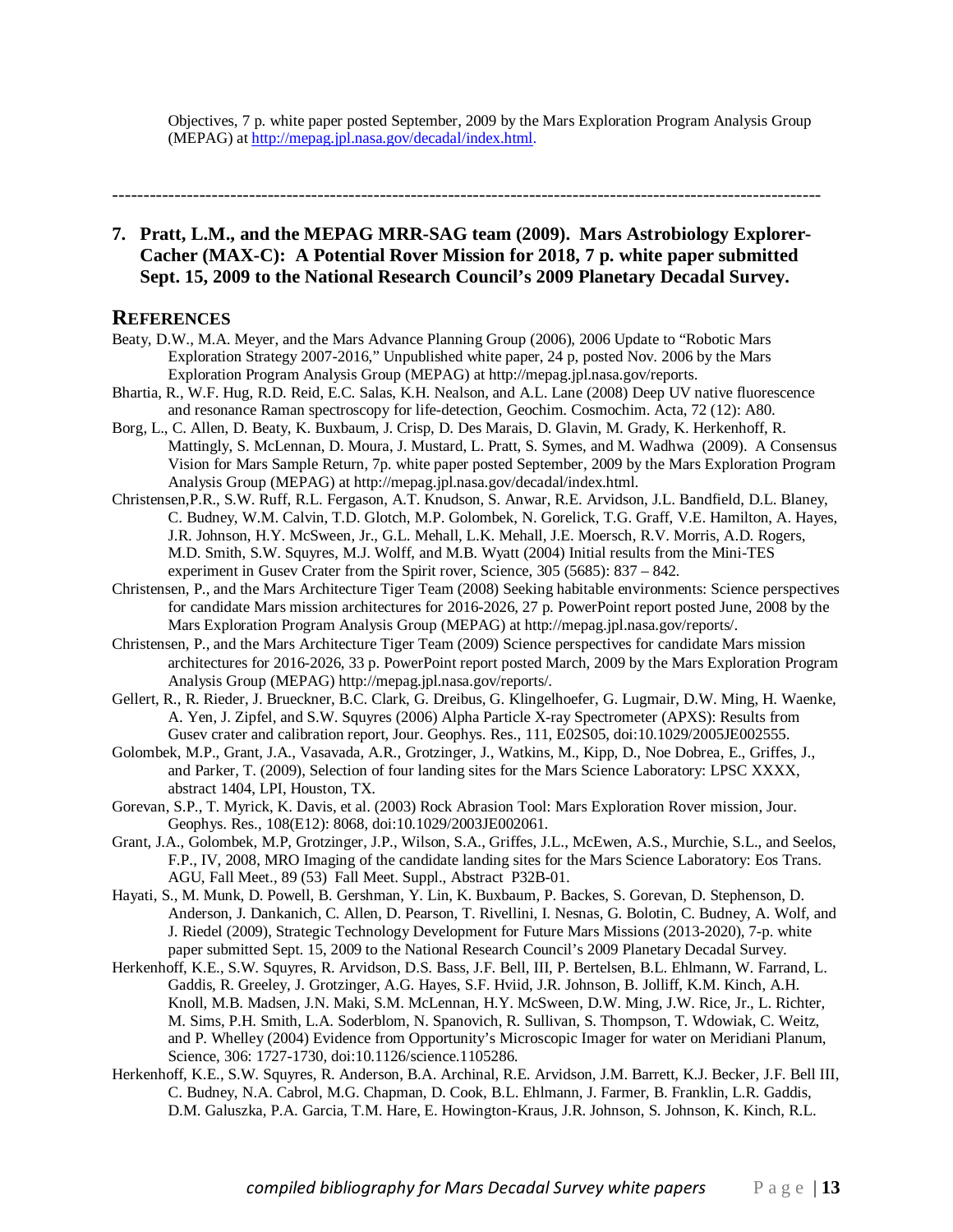Objectives, 7 p. white paper posted September, 2009 by the Mars Exploration Program Analysis Group (MEPAG) at http://mepag.jpl.nasa.gov/decadal/index.html.

------------------------------------------------------------------------------------------------------------------

# **7. Pratt, L.M., and the MEPAG MRR-SAG team (2009). Mars Astrobiology Explorer-Cacher (MAX-C): A Potential Rover Mission for 2018, 7 p. white paper submitted Sept. 15, 2009 to the National Research Council's 2009 Planetary Decadal Survey.**

- Beaty, D.W., M.A. Meyer, and the Mars Advance Planning Group (2006), 2006 Update to "Robotic Mars Exploration Strategy 2007-2016," Unpublished white paper, 24 p, posted Nov. 2006 by the Mars Exploration Program Analysis Group (MEPAG) at http://mepag.jpl.nasa.gov/reports.
- Bhartia, R., W.F. Hug, R.D. Reid, E.C. Salas, K.H. Nealson, and A.L. Lane (2008) Deep UV native fluorescence and resonance Raman spectroscopy for life-detection, Geochim. Cosmochim. Acta, 72 (12): A80.
- Borg, L., C. Allen, D. Beaty, K. Buxbaum, J. Crisp, D. Des Marais, D. Glavin, M. Grady, K. Herkenhoff, R. Mattingly, S. McLennan, D. Moura, J. Mustard, L. Pratt, S. Symes, and M. Wadhwa (2009). A Consensus Vision for Mars Sample Return, 7p. white paper posted September, 2009 by the Mars Exploration Program Analysis Group (MEPAG) at http://mepag.jpl.nasa.gov/decadal/index.html.
- Christensen,P.R., S.W. Ruff, R.L. Fergason, A.T. Knudson, S. Anwar, R.E. Arvidson, J.L. Bandfield, D.L. Blaney, C. Budney, W.M. Calvin, T.D. Glotch, M.P. Golombek, N. Gorelick, T.G. Graff, V.E. Hamilton, A. Hayes, J.R. Johnson, H.Y. McSween, Jr., G.L. Mehall, L.K. Mehall, J.E. Moersch, R.V. Morris, A.D. Rogers, M.D. Smith, S.W. Squyres, M.J. Wolff, and M.B. Wyatt (2004) Initial results from the Mini-TES experiment in Gusev Crater from the Spirit rover, Science, 305 (5685): 837 – 842.
- Christensen, P., and the Mars Architecture Tiger Team (2008) Seeking habitable environments: Science perspectives for candidate Mars mission architectures for 2016-2026, 27 p. PowerPoint report posted June, 2008 by the Mars Exploration Program Analysis Group (MEPAG) at http://mepag.jpl.nasa.gov/reports/.
- Christensen, P., and the Mars Architecture Tiger Team (2009) Science perspectives for candidate Mars mission architectures for 2016-2026, 33 p. PowerPoint report posted March, 2009 by the Mars Exploration Program Analysis Group (MEPAG) http://mepag.jpl.nasa.gov/reports/.
- Gellert, R., R. Rieder, J. Brueckner, B.C. Clark, G. Dreibus, G. Klingelhoefer, G. Lugmair, D.W. Ming, H. Waenke, A. Yen, J. Zipfel, and S.W. Squyres (2006) Alpha Particle X-ray Spectrometer (APXS): Results from Gusev crater and calibration report, Jour. Geophys. Res., 111, E02S05, doi:10.1029/2005JE002555.
- Golombek, M.P., Grant, J.A., Vasavada, A.R., Grotzinger, J., Watkins, M., Kipp, D., Noe Dobrea, E., Griffes, J., and Parker, T. (2009), Selection of four landing sites for the Mars Science Laboratory: LPSC XXXX, abstract 1404, LPI, Houston, TX.
- Gorevan, S.P., T. Myrick, K. Davis, et al. (2003) Rock Abrasion Tool: Mars Exploration Rover mission, Jour. Geophys. Res., 108(E12): 8068, doi:10.1029/2003JE002061.
- Grant, J.A., Golombek, M.P, Grotzinger, J.P., Wilson, S.A., Griffes, J.L., McEwen, A.S., Murchie, S.L., and Seelos, F.P., IV, 2008, MRO Imaging of the candidate landing sites for the Mars Science Laboratory: Eos Trans. AGU, Fall Meet., 89 (53) Fall Meet. Suppl., Abstract P32B-01.
- Hayati, S., M. Munk, D. Powell, B. Gershman, Y. Lin, K. Buxbaum, P. Backes, S. Gorevan, D. Stephenson, D. Anderson, J. Dankanich, C. Allen, D. Pearson, T. Rivellini, I. Nesnas, G. Bolotin, C. Budney, A. Wolf, and J. Riedel (2009), Strategic Technology Development for Future Mars Missions (2013-2020), 7-p. white paper submitted Sept. 15, 2009 to the National Research Council's 2009 Planetary Decadal Survey.
- Herkenhoff, K.E., S.W. Squyres, R. Arvidson, D.S. Bass, J.F. Bell, III, P. Bertelsen, B.L. Ehlmann, W. Farrand, L. Gaddis, R. Greeley, J. Grotzinger, A.G. Hayes, S.F. Hviid, J.R. Johnson, B. Jolliff, K.M. Kinch, A.H. Knoll, M.B. Madsen, J.N. Maki, S.M. McLennan, H.Y. McSween, D.W. Ming, J.W. Rice, Jr., L. Richter, M. Sims, P.H. Smith, L.A. Soderblom, N. Spanovich, R. Sullivan, S. Thompson, T. Wdowiak, C. Weitz, and P. Whelley (2004) Evidence from Opportunity's Microscopic Imager for water on Meridiani Planum, Science, 306: 1727-1730, doi:10.1126/science.1105286.
- Herkenhoff, K.E., S.W. Squyres, R. Anderson, B.A. Archinal, R.E. Arvidson, J.M. Barrett, K.J. Becker, J.F. Bell III, C. Budney, N.A. Cabrol, M.G. Chapman, D. Cook, B.L. Ehlmann, J. Farmer, B. Franklin, L.R. Gaddis, D.M. Galuszka, P.A. Garcia, T.M. Hare, E. Howington-Kraus, J.R. Johnson, S. Johnson, K. Kinch, R.L.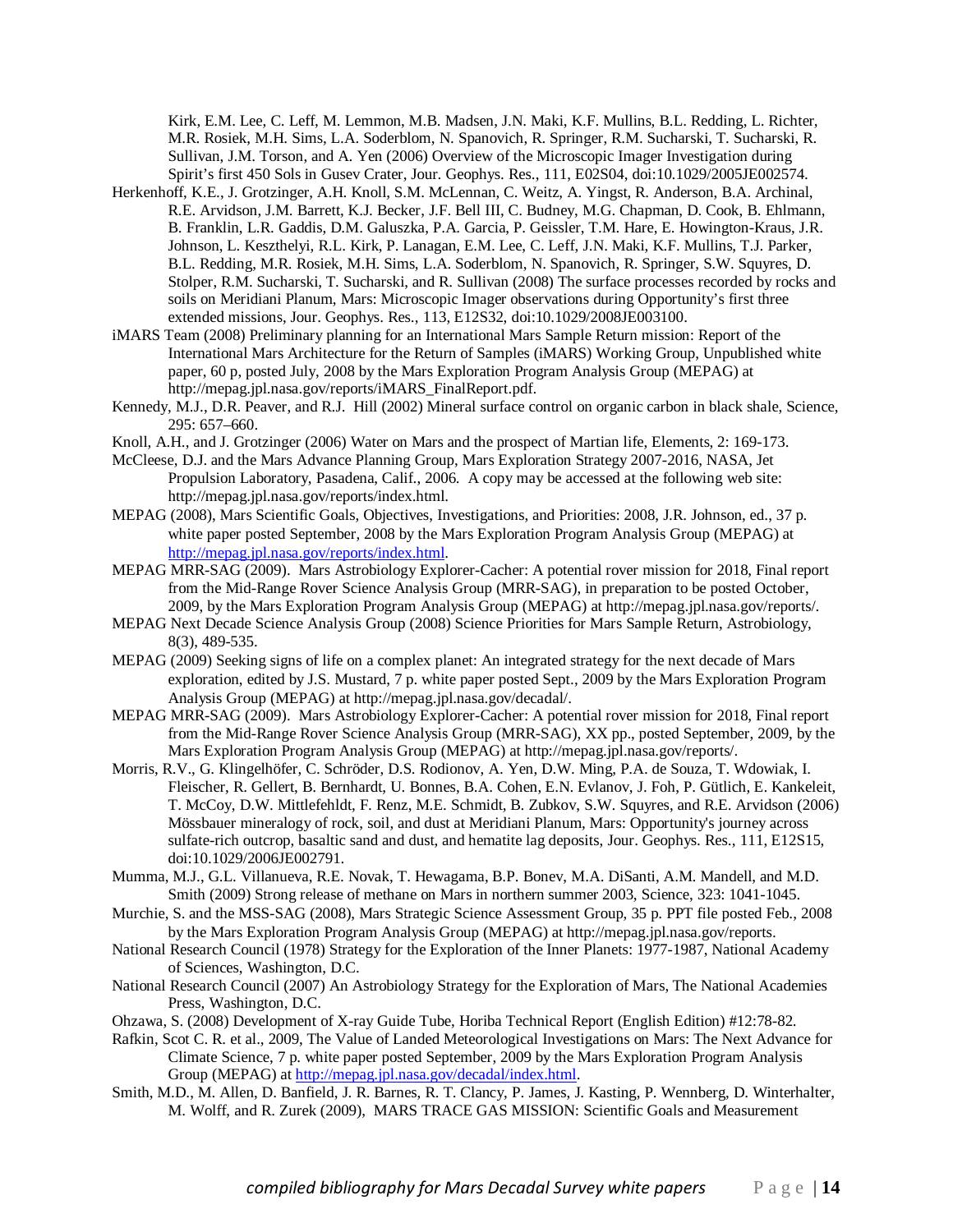Kirk, E.M. Lee, C. Leff, M. Lemmon, M.B. Madsen, J.N. Maki, K.F. Mullins, B.L. Redding, L. Richter, M.R. Rosiek, M.H. Sims, L.A. Soderblom, N. Spanovich, R. Springer, R.M. Sucharski, T. Sucharski, R. Sullivan, J.M. Torson, and A. Yen (2006) Overview of the Microscopic Imager Investigation during Spirit's first 450 Sols in Gusev Crater, Jour. Geophys. Res., 111, E02S04, doi:10.1029/2005JE002574.

- Herkenhoff, K.E., J. Grotzinger, A.H. Knoll, S.M. McLennan, C. Weitz, A. Yingst, R. Anderson, B.A. Archinal, R.E. Arvidson, J.M. Barrett, K.J. Becker, J.F. Bell III, C. Budney, M.G. Chapman, D. Cook, B. Ehlmann, B. Franklin, L.R. Gaddis, D.M. Galuszka, P.A. Garcia, P. Geissler, T.M. Hare, E. Howington-Kraus, J.R. Johnson, L. Keszthelyi, R.L. Kirk, P. Lanagan, E.M. Lee, C. Leff, J.N. Maki, K.F. Mullins, T.J. Parker, B.L. Redding, M.R. Rosiek, M.H. Sims, L.A. Soderblom, N. Spanovich, R. Springer, S.W. Squyres, D. Stolper, R.M. Sucharski, T. Sucharski, and R. Sullivan (2008) The surface processes recorded by rocks and soils on Meridiani Planum, Mars: Microscopic Imager observations during Opportunity's first three extended missions, Jour. Geophys. Res., 113, E12S32, doi:10.1029/2008JE003100.
- iMARS Team (2008) Preliminary planning for an International Mars Sample Return mission: Report of the International Mars Architecture for the Return of Samples (iMARS) Working Group, Unpublished white paper, 60 p, posted July, 2008 by the Mars Exploration Program Analysis Group (MEPAG) at http://mepag.jpl.nasa.gov/reports/iMARS\_FinalReport.pdf.
- Kennedy, M.J., D.R. Peaver, and R.J. Hill (2002) Mineral surface control on organic carbon in black shale, Science, 295: 657–660.
- Knoll, A.H., and J. Grotzinger (2006) Water on Mars and the prospect of Martian life, Elements, 2: 169-173.
- McCleese, D.J. and the Mars Advance Planning Group, Mars Exploration Strategy 2007-2016, NASA, Jet Propulsion Laboratory, Pasadena, Calif., 2006. A copy may be accessed at the following web site: http://mepag.jpl.nasa.gov/reports/index.html.
- MEPAG (2008), Mars Scientific Goals, Objectives, Investigations, and Priorities: 2008, J.R. Johnson, ed., 37 p. white paper posted September, 2008 by the Mars Exploration Program Analysis Group (MEPAG) at http://mepag.jpl.nasa.gov/reports/index.html.
- MEPAG MRR-SAG (2009). Mars Astrobiology Explorer-Cacher: A potential rover mission for 2018, Final report from the Mid-Range Rover Science Analysis Group (MRR-SAG), in preparation to be posted October, 2009, by the Mars Exploration Program Analysis Group (MEPAG) at http://mepag.jpl.nasa.gov/reports/.
- MEPAG Next Decade Science Analysis Group (2008) Science Priorities for Mars Sample Return, Astrobiology, 8(3), 489-535.
- MEPAG (2009) Seeking signs of life on a complex planet: An integrated strategy for the next decade of Mars exploration, edited by J.S. Mustard, 7 p. white paper posted Sept., 2009 by the Mars Exploration Program Analysis Group (MEPAG) at http://mepag.jpl.nasa.gov/decadal/.
- MEPAG MRR-SAG (2009). Mars Astrobiology Explorer-Cacher: A potential rover mission for 2018, Final report from the Mid-Range Rover Science Analysis Group (MRR-SAG), XX pp., posted September, 2009, by the Mars Exploration Program Analysis Group (MEPAG) at http://mepag.jpl.nasa.gov/reports/.
- Morris, R.V., G. Klingelhöfer, C. Schröder, D.S. Rodionov, A. Yen, D.W. Ming, P.A. de Souza, T. Wdowiak, I. Fleischer, R. Gellert, B. Bernhardt, U. Bonnes, B.A. Cohen, E.N. Evlanov, J. Foh, P. Gütlich, E. Kankeleit, T. McCoy, D.W. Mittlefehldt, F. Renz, M.E. Schmidt, B. Zubkov, S.W. Squyres, and R.E. Arvidson (2006) Mössbauer mineralogy of rock, soil, and dust at Meridiani Planum, Mars: Opportunity's journey across sulfate-rich outcrop, basaltic sand and dust, and hematite lag deposits, Jour. Geophys. Res., 111, E12S15, doi:10.1029/2006JE002791.
- Mumma, M.J., G.L. Villanueva, R.E. Novak, T. Hewagama, B.P. Bonev, M.A. DiSanti, A.M. Mandell, and M.D. Smith (2009) Strong release of methane on Mars in northern summer 2003, Science, 323: 1041-1045.
- Murchie, S. and the MSS-SAG (2008), Mars Strategic Science Assessment Group, 35 p. PPT file posted Feb., 2008 by the Mars Exploration Program Analysis Group (MEPAG) at http://mepag.jpl.nasa.gov/reports.
- National Research Council (1978) Strategy for the Exploration of the Inner Planets: 1977-1987, National Academy of Sciences, Washington, D.C.
- National Research Council (2007) An Astrobiology Strategy for the Exploration of Mars, The National Academies Press, Washington, D.C.
- Ohzawa, S. (2008) Development of X-ray Guide Tube, Horiba Technical Report (English Edition) #12:78-82.
- Rafkin, Scot C. R. et al., 2009, The Value of Landed Meteorological Investigations on Mars: The Next Advance for Climate Science, 7 p. white paper posted September, 2009 by the Mars Exploration Program Analysis Group (MEPAG) at http://mepag.jpl.nasa.gov/decadal/index.html.
- Smith, M.D., M. Allen, D. Banfield, J. R. Barnes, R. T. Clancy, P. James, J. Kasting, P. Wennberg, D. Winterhalter, M. Wolff, and R. Zurek (2009), MARS TRACE GAS MISSION: Scientific Goals and Measurement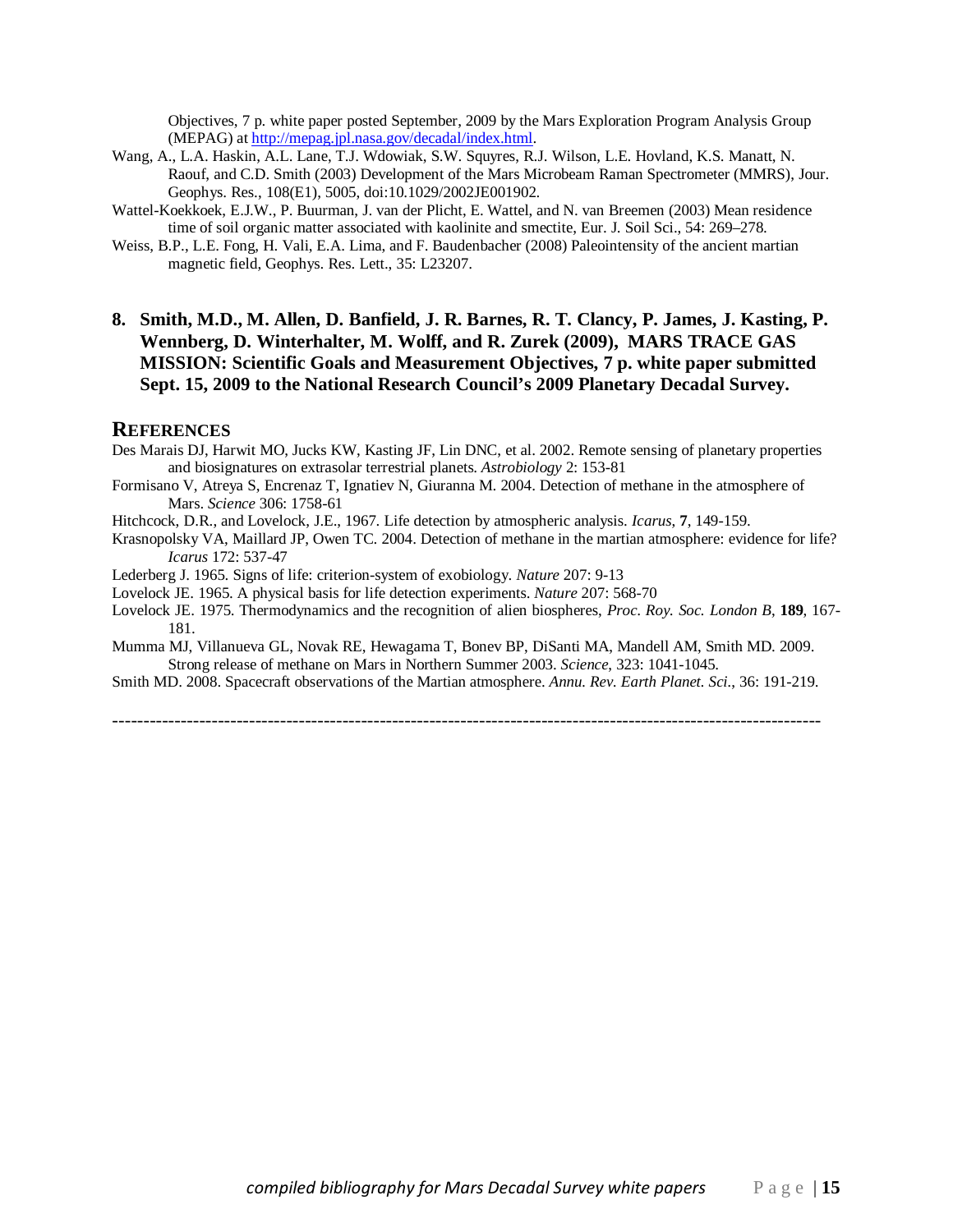Objectives, 7 p. white paper posted September, 2009 by the Mars Exploration Program Analysis Group (MEPAG) at http://mepag.jpl.nasa.gov/decadal/index.html.

- Wang, A., L.A. Haskin, A.L. Lane, T.J. Wdowiak, S.W. Squyres, R.J. Wilson, L.E. Hovland, K.S. Manatt, N. Raouf, and C.D. Smith (2003) Development of the Mars Microbeam Raman Spectrometer (MMRS), Jour. Geophys. Res., 108(E1), 5005, doi:10.1029/2002JE001902.
- Wattel-Koekkoek, E.J.W., P. Buurman, J. van der Plicht, E. Wattel, and N. van Breemen (2003) Mean residence time of soil organic matter associated with kaolinite and smectite, Eur. J. Soil Sci., 54: 269–278.
- Weiss, B.P., L.E. Fong, H. Vali, E.A. Lima, and F. Baudenbacher (2008) Paleointensity of the ancient martian magnetic field, Geophys. Res. Lett., 35: L23207.
- **8. Smith, M.D., M. Allen, D. Banfield, J. R. Barnes, R. T. Clancy, P. James, J. Kasting, P. Wennberg, D. Winterhalter, M. Wolff, and R. Zurek (2009), MARS TRACE GAS MISSION: Scientific Goals and Measurement Objectives, 7 p. white paper submitted Sept. 15, 2009 to the National Research Council's 2009 Planetary Decadal Survey.**

#### **REFERENCES**

- Des Marais DJ, Harwit MO, Jucks KW, Kasting JF, Lin DNC, et al. 2002. Remote sensing of planetary properties and biosignatures on extrasolar terrestrial planets. *Astrobiology* 2: 153-81
- Formisano V, Atreya S, Encrenaz T, Ignatiev N, Giuranna M. 2004. Detection of methane in the atmosphere of Mars. *Science* 306: 1758-61
- Hitchcock, D.R., and Lovelock, J.E., 1967. Life detection by atmospheric analysis. *Icarus*, **7**, 149-159.
- Krasnopolsky VA, Maillard JP, Owen TC. 2004. Detection of methane in the martian atmosphere: evidence for life? *Icarus* 172: 537-47
- Lederberg J. 1965. Signs of life: criterion-system of exobiology. *Nature* 207: 9-13
- Lovelock JE. 1965. A physical basis for life detection experiments. *Nature* 207: 568-70
- Lovelock JE. 1975. Thermodynamics and the recognition of alien biospheres, *Proc. Roy. Soc. London B*, **189**, 167- 181.
- Mumma MJ, Villanueva GL, Novak RE, Hewagama T, Bonev BP, DiSanti MA, Mandell AM, Smith MD. 2009. Strong release of methane on Mars in Northern Summer 2003. *Science*, 323: 1041-1045.
- Smith MD. 2008. Spacecraft observations of the Martian atmosphere. *Annu. Rev. Earth Planet. Sci.*, 36: 191-219.

------------------------------------------------------------------------------------------------------------------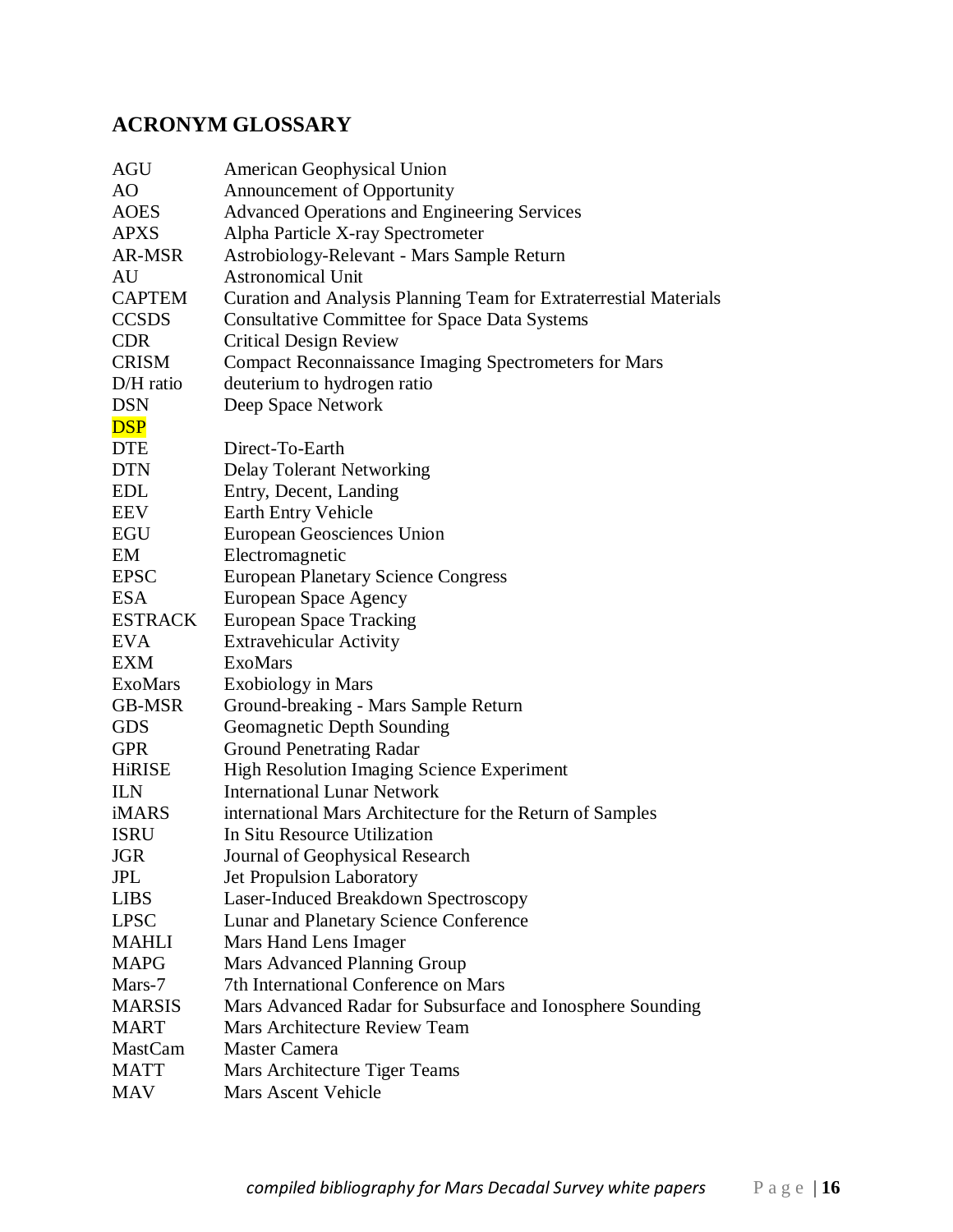# **ACRONYM GLOSSARY**

| AGU            | American Geophysical Union                                        |
|----------------|-------------------------------------------------------------------|
| AO             | Announcement of Opportunity                                       |
| <b>AOES</b>    | <b>Advanced Operations and Engineering Services</b>               |
| <b>APXS</b>    | Alpha Particle X-ray Spectrometer                                 |
| AR-MSR         | Astrobiology-Relevant - Mars Sample Return                        |
| AU             | <b>Astronomical Unit</b>                                          |
| <b>CAPTEM</b>  | Curation and Analysis Planning Team for Extraterrestial Materials |
| <b>CCSDS</b>   | <b>Consultative Committee for Space Data Systems</b>              |
| <b>CDR</b>     | <b>Critical Design Review</b>                                     |
| <b>CRISM</b>   | <b>Compact Reconnaissance Imaging Spectrometers for Mars</b>      |
| D/H ratio      | deuterium to hydrogen ratio                                       |
| <b>DSN</b>     | Deep Space Network                                                |
| <b>DSP</b>     |                                                                   |
| <b>DTE</b>     | Direct-To-Earth                                                   |
| <b>DTN</b>     | <b>Delay Tolerant Networking</b>                                  |
| <b>EDL</b>     | Entry, Decent, Landing                                            |
| EEV            | Earth Entry Vehicle                                               |
| <b>EGU</b>     | European Geosciences Union                                        |
| EM             | Electromagnetic                                                   |
| <b>EPSC</b>    | <b>European Planetary Science Congress</b>                        |
| <b>ESA</b>     | <b>European Space Agency</b>                                      |
| <b>ESTRACK</b> | <b>European Space Tracking</b>                                    |
| <b>EVA</b>     | <b>Extravehicular Activity</b>                                    |
| <b>EXM</b>     | <b>ExoMars</b>                                                    |
| <b>ExoMars</b> | <b>Exobiology</b> in Mars                                         |
| <b>GB-MSR</b>  | Ground-breaking - Mars Sample Return                              |
| <b>GDS</b>     | Geomagnetic Depth Sounding                                        |
| <b>GPR</b>     | <b>Ground Penetrating Radar</b>                                   |
| <b>HiRISE</b>  | <b>High Resolution Imaging Science Experiment</b>                 |
| <b>ILN</b>     | <b>International Lunar Network</b>                                |
| iMARS          | international Mars Architecture for the Return of Samples         |
| <b>ISRU</b>    | In Situ Resource Utilization                                      |
| <b>JGR</b>     | Journal of Geophysical Research                                   |
| <b>JPL</b>     | Jet Propulsion Laboratory                                         |
| <b>LIBS</b>    | Laser-Induced Breakdown Spectroscopy                              |
| <b>LPSC</b>    | Lunar and Planetary Science Conference                            |
| <b>MAHLI</b>   | Mars Hand Lens Imager                                             |
| <b>MAPG</b>    | Mars Advanced Planning Group                                      |
| Mars-7         | 7th International Conference on Mars                              |
| <b>MARSIS</b>  | Mars Advanced Radar for Subsurface and Ionosphere Sounding        |
| <b>MART</b>    | Mars Architecture Review Team                                     |
| <b>MastCam</b> | Master Camera                                                     |
| <b>MATT</b>    | Mars Architecture Tiger Teams                                     |
| <b>MAV</b>     | <b>Mars Ascent Vehicle</b>                                        |
|                |                                                                   |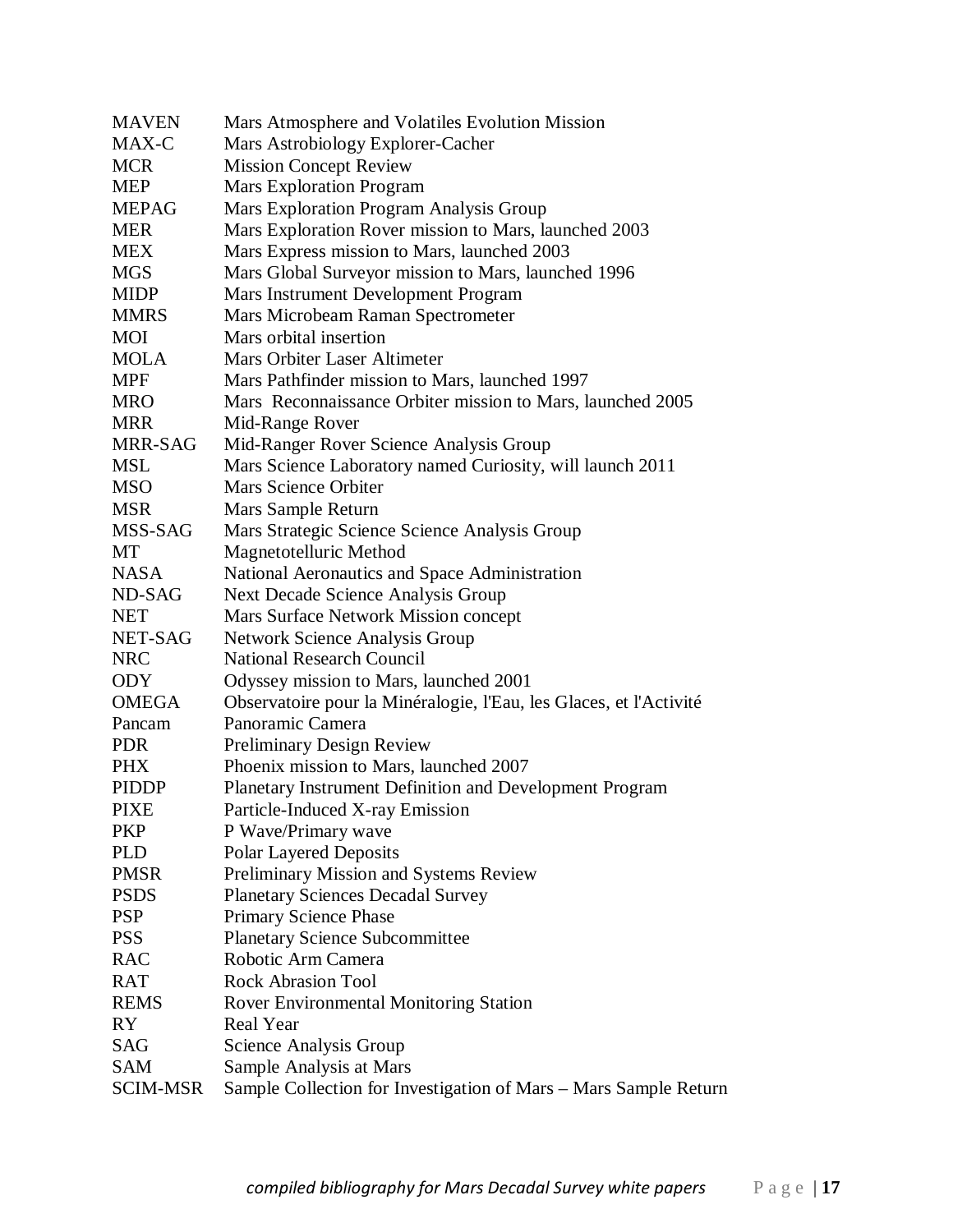| <b>MAVEN</b>    | Mars Atmosphere and Volatiles Evolution Mission                    |
|-----------------|--------------------------------------------------------------------|
| MAX-C           | Mars Astrobiology Explorer-Cacher                                  |
| <b>MCR</b>      | <b>Mission Concept Review</b>                                      |
| <b>MEP</b>      | <b>Mars Exploration Program</b>                                    |
| <b>MEPAG</b>    | Mars Exploration Program Analysis Group                            |
| <b>MER</b>      | Mars Exploration Rover mission to Mars, launched 2003              |
| <b>MEX</b>      | Mars Express mission to Mars, launched 2003                        |
| <b>MGS</b>      | Mars Global Surveyor mission to Mars, launched 1996                |
| <b>MIDP</b>     | Mars Instrument Development Program                                |
| <b>MMRS</b>     | Mars Microbeam Raman Spectrometer                                  |
| MOI             | Mars orbital insertion                                             |
| <b>MOLA</b>     | Mars Orbiter Laser Altimeter                                       |
| <b>MPF</b>      | Mars Pathfinder mission to Mars, launched 1997                     |
| <b>MRO</b>      | Mars Reconnaissance Orbiter mission to Mars, launched 2005         |
| <b>MRR</b>      | Mid-Range Rover                                                    |
| MRR-SAG         | Mid-Ranger Rover Science Analysis Group                            |
| MSL             | Mars Science Laboratory named Curiosity, will launch 2011          |
| MSO             | Mars Science Orbiter                                               |
| <b>MSR</b>      | Mars Sample Return                                                 |
| MSS-SAG         | Mars Strategic Science Science Analysis Group                      |
| MT              | Magnetotelluric Method                                             |
| <b>NASA</b>     | National Aeronautics and Space Administration                      |
| ND-SAG          | Next Decade Science Analysis Group                                 |
| <b>NET</b>      | Mars Surface Network Mission concept                               |
| NET-SAG         | <b>Network Science Analysis Group</b>                              |
| <b>NRC</b>      | <b>National Research Council</b>                                   |
| <b>ODY</b>      | Odyssey mission to Mars, launched 2001                             |
| <b>OMEGA</b>    | Observatoire pour la Minéralogie, l'Eau, les Glaces, et l'Activité |
| Pancam          | Panoramic Camera                                                   |
| <b>PDR</b>      | <b>Preliminary Design Review</b>                                   |
| <b>PHX</b>      | Phoenix mission to Mars, launched 2007                             |
| <b>PIDDP</b>    | Planetary Instrument Definition and Development Program            |
| <b>PIXE</b>     | Particle-Induced X-ray Emission                                    |
| PKP             | P Wave/Primary wave                                                |
| <b>PLD</b>      | <b>Polar Layered Deposits</b>                                      |
| <b>PMSR</b>     | Preliminary Mission and Systems Review                             |
| <b>PSDS</b>     | <b>Planetary Sciences Decadal Survey</b>                           |
| <b>PSP</b>      | Primary Science Phase                                              |
| <b>PSS</b>      | <b>Planetary Science Subcommittee</b>                              |
| <b>RAC</b>      | Robotic Arm Camera                                                 |
| RAT             | <b>Rock Abrasion Tool</b>                                          |
| <b>REMS</b>     | <b>Rover Environmental Monitoring Station</b>                      |
| <b>RY</b>       | Real Year                                                          |
| SAG             | Science Analysis Group                                             |
| <b>SAM</b>      | Sample Analysis at Mars                                            |
| <b>SCIM-MSR</b> | Sample Collection for Investigation of Mars - Mars Sample Return   |